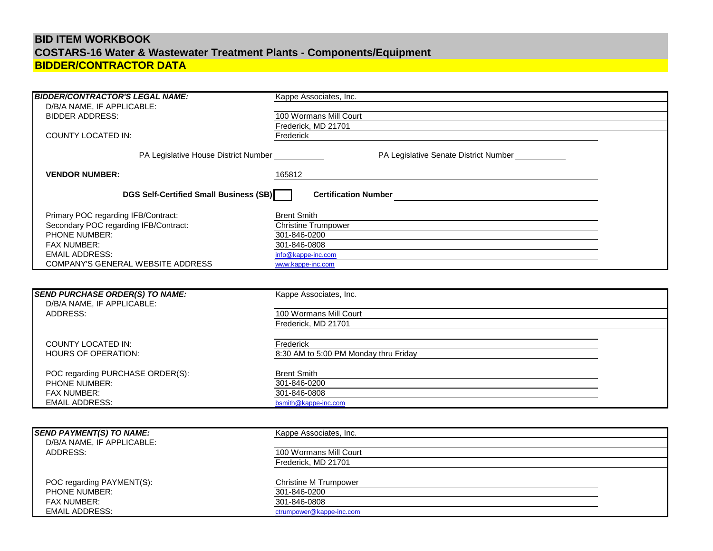# **BID ITEM WORKBOOK BIDDER/CONTRACTOR DATA COSTARS-16 Water & Wastewater Treatment Plants - Components/Equipment**

| <b>BIDDER/CONTRACTOR'S LEGAL NAME:</b> | Kappe Associates, Inc.                |  |
|----------------------------------------|---------------------------------------|--|
| D/B/A NAME, IF APPLICABLE:             |                                       |  |
| <b>BIDDER ADDRESS:</b>                 | 100 Wormans Mill Court                |  |
|                                        | Frederick, MD 21701                   |  |
| <b>COUNTY LOCATED IN:</b>              | Frederick                             |  |
|                                        |                                       |  |
| PA Legislative House District Number   | PA Legislative Senate District Number |  |
|                                        |                                       |  |
| <b>VENDOR NUMBER:</b>                  | 165812                                |  |
|                                        |                                       |  |
| DGS Self-Certified Small Business (SB) | <b>Certification Number</b>           |  |
|                                        |                                       |  |
| Primary POC regarding IFB/Contract:    | <b>Brent Smith</b>                    |  |
| Secondary POC regarding IFB/Contract:  | <b>Christine Trumpower</b>            |  |
| PHONE NUMBER:                          | 301-846-0200                          |  |
| <b>FAX NUMBER:</b>                     | 301-846-0808                          |  |
| <b>EMAIL ADDRESS:</b>                  | info@kappe-inc.com                    |  |
| COMPANY'S GENERAL WEBSITE ADDRESS      | www.kappe-inc.com                     |  |
|                                        |                                       |  |
|                                        |                                       |  |
| <b>SEND PURCHASE ORDER(S) TO NAME:</b> | Kappe Associates, Inc.                |  |
| D/B/A NAME, IF APPLICABLE:             |                                       |  |
| ADDRESS:                               | 100 Wormans Mill Court                |  |
|                                        |                                       |  |
|                                        | Frederick, MD 21701                   |  |
|                                        |                                       |  |
| <b>COUNTY LOCATED IN:</b>              | Frederick                             |  |
| <b>HOURS OF OPERATION:</b>             | 8:30 AM to 5:00 PM Monday thru Friday |  |
|                                        |                                       |  |
| POC regarding PURCHASE ORDER(S):       | <b>Brent Smith</b>                    |  |
| <b>PHONE NUMBER:</b>                   | 301-846-0200                          |  |
| FAX NUMBER:                            | 301-846-0808                          |  |
| <b>EMAIL ADDRESS:</b>                  | bsmith@kappe-inc.com                  |  |
|                                        |                                       |  |
|                                        |                                       |  |
| <b>SEND PAYMENT(S) TO NAME:</b>        | Kappe Associates, Inc.                |  |
| D/B/A NAME, IF APPLICABLE:             |                                       |  |
| ADDRESS:                               | 100 Wormans Mill Court                |  |
|                                        | Frederick, MD 21701                   |  |
|                                        |                                       |  |
| POC regarding PAYMENT(S):              | <b>Christine M Trumpower</b>          |  |
| PHONE NUMBER:                          | 301-846-0200                          |  |
| <b>FAX NUMBER:</b>                     | 301-846-0808                          |  |
| <b>EMAIL ADDRESS:</b>                  | ctrumpower@kappe-inc.com              |  |
|                                        |                                       |  |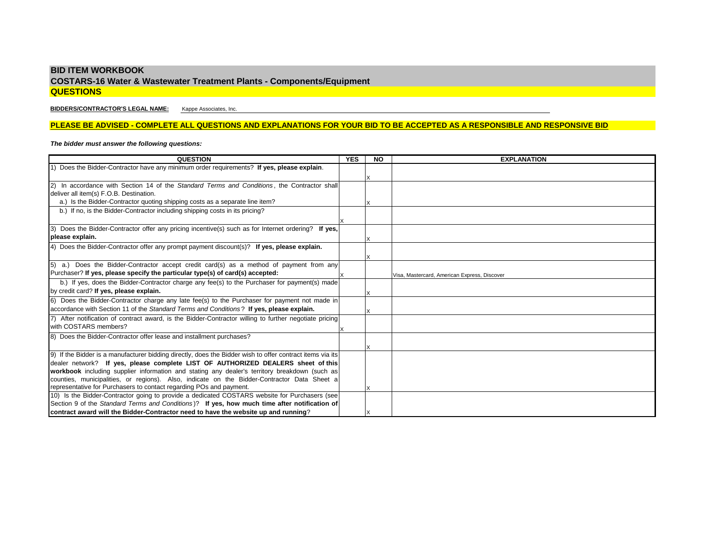# **BID ITEM WORKBOOK COSTARS-16 Water & Wastewater Treatment Plants - Components/Equipment QUESTIONS**

**BIDDERS/CONTRACTOR'S LEGAL NAME:** Kappe Associates, Inc.

# **PLEASE BE ADVISED - COMPLETE ALL QUESTIONS AND EXPLANATIONS FOR YOUR BID TO BE ACCEPTED AS A RESPONSIBLE AND RESPONSIVE BID**

# *The bidder must answer the following questions:*

| <b>QUESTION</b>                                                                                              | <b>YES</b> | <b>NO</b> | <b>EXPLANATION</b>                           |
|--------------------------------------------------------------------------------------------------------------|------------|-----------|----------------------------------------------|
| 1) Does the Bidder-Contractor have any minimum order requirements? If yes, please explain.                   |            |           |                                              |
|                                                                                                              |            |           |                                              |
| In accordance with Section 14 of the Standard Terms and Conditions, the Contractor shall                     |            |           |                                              |
| deliver all item(s) F.O.B. Destination.                                                                      |            |           |                                              |
| a.) Is the Bidder-Contractor quoting shipping costs as a separate line item?                                 |            |           |                                              |
| b.) If no, is the Bidder-Contractor including shipping costs in its pricing?                                 |            |           |                                              |
|                                                                                                              |            |           |                                              |
| Does the Bidder-Contractor offer any pricing incentive(s) such as for Internet ordering? If yes,<br><b>3</b> |            |           |                                              |
| please explain.                                                                                              |            |           |                                              |
| 4) Does the Bidder-Contractor offer any prompt payment discount(s)? If yes, please explain.                  |            |           |                                              |
|                                                                                                              |            |           |                                              |
| 5) a.) Does the Bidder-Contractor accept credit card(s) as a method of payment from any                      |            |           |                                              |
| Purchaser? If yes, please specify the particular type(s) of card(s) accepted:                                |            |           | Visa, Mastercard, American Express, Discover |
| b.) If yes, does the Bidder-Contractor charge any fee(s) to the Purchaser for payment(s) made                |            |           |                                              |
| by credit card? If yes, please explain.                                                                      |            |           |                                              |
| 6) Does the Bidder-Contractor charge any late fee(s) to the Purchaser for payment not made in                |            |           |                                              |
| accordance with Section 11 of the Standard Terms and Conditions? If yes, please explain.                     |            |           |                                              |
| After notification of contract award, is the Bidder-Contractor willing to further negotiate pricing          |            |           |                                              |
| with COSTARS members?                                                                                        |            |           |                                              |
| 8) Does the Bidder-Contractor offer lease and installment purchases?                                         |            |           |                                              |
|                                                                                                              |            |           |                                              |
| 9) If the Bidder is a manufacturer bidding directly, does the Bidder wish to offer contract items via its    |            |           |                                              |
| dealer network? If yes, please complete LIST OF AUTHORIZED DEALERS sheet of this                             |            |           |                                              |
| workbook including supplier information and stating any dealer's territory breakdown (such as                |            |           |                                              |
| counties, municipalities, or regions). Also, indicate on the Bidder-Contractor Data Sheet a                  |            |           |                                              |
| representative for Purchasers to contact regarding POs and payment.                                          |            |           |                                              |
| 10) Is the Bidder-Contractor going to provide a dedicated COSTARS website for Purchasers (see                |            |           |                                              |
| Section 9 of the Standard Terms and Conditions)? If yes, how much time after notification of                 |            |           |                                              |
| contract award will the Bidder-Contractor need to have the website up and running?                           |            |           |                                              |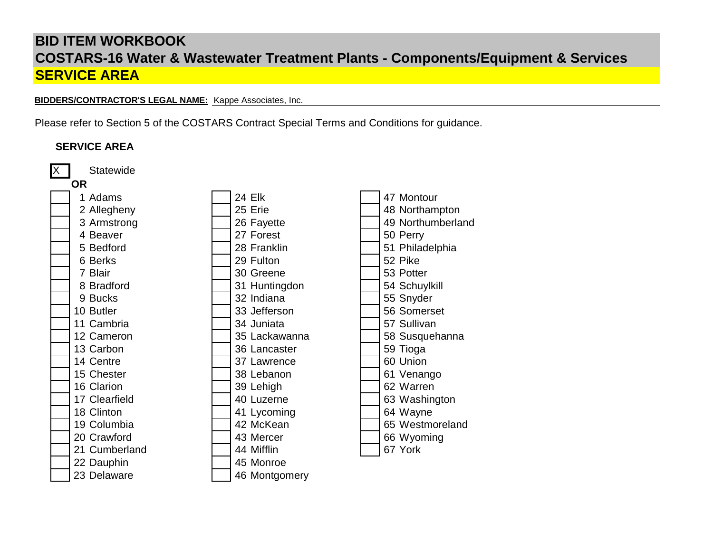# **BID ITEM WORKBOOK SERVICE AREA COSTARS-16 Water & Wastewater Treatment Plants - Components/Equipment & Services**

**BIDDERS/CONTRACTOR'S LEGAL NAME:** Kappe Associates, Inc.

Please refer to Section 5 of the COSTARS Contract Special Terms and Conditions for guidance.

# X | Statewide **OR** 1 Adams 24 Elk 47 Montour 2 Allegheny 25 Erie 148 Northampton 3 Armstrong 26 Fayette 19 49 Northumberland<br>4 Beaver 27 Forest 50 Perry 4 Beaver<br>5 Bedford 27 Forest 5 Bedford 128 Franklin 128 Franklin 151 Philadelphia<br>6 Berks 129 Fulton 152 Pike 6 Berks 29 Fulton 52 Pike 7 Blair 30 Greene 53 Potter 8 Bradford 1 31 Huntingdon 9 Bucks 32 Indiana 55 Snyder 10 Butler 10 Superset 1 State 1 33 Jefferson 1 S6 Somerset 11 Cambria 34 Juniata 57 Sullivan 12 Cameron 12 Cameron 13 S Lackawanna 13 Carbon<br>13 Carbon 13 Carbon 13 Carbon 36 Lancaster 1 59 Tioga 14 Centre 37 Lawrence 60 Union 15 Chester 15 Chester 15 Chester 16 Clarion 16 Clarion 16 Clarion 16 Clarion 16 Clarion 16 Clarion 16 Clarion 16 Clarion 16 Clarion 16 Clarion 16 Clarion 16 Clarion 16 Clarion 16 Clarion 16 Clarion 16 Clarion 16 Clarion 16 162 Warren 39 Lehigh 62 Warren 17 Clearfield 17 Clearfield 18 Clinton<br>
18 Clinton 18 Clinton 18 Clinton 41 Lycoming 19 Columbia **19 Columbia** 19 Columbia 19 Columbia 19 Columbia 19 Columbia 19 Restaurant 19 Columbia 1 20 Crawford 143 Mercer 15 and 143 Mercer 15 and 144 Mifflin 166 Wyoming 21 Cumberland 1 44 Mifflin **SERVICE AREA**

22 Dauphin 145 Monroe 23 Delaware **46 Montgomery**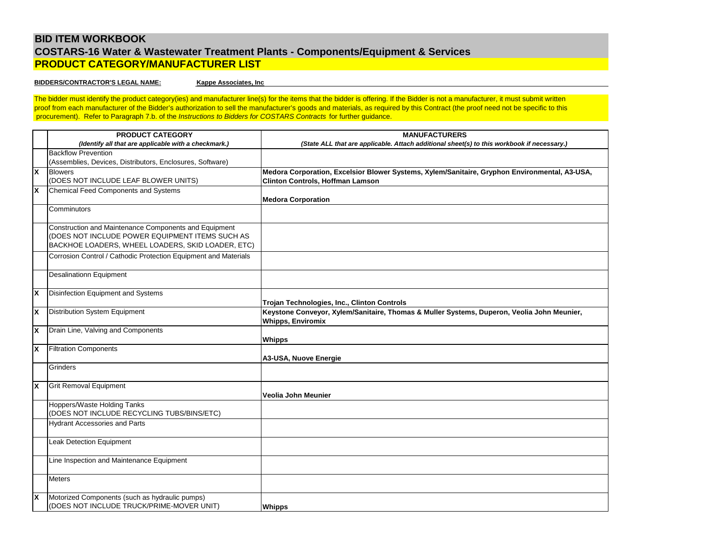# **BID ITEM WORKBOOK COSTARS-16 Water & Wastewater Treatment Plants - Components/Equipment & Services PRODUCT CATEGORY/MANUFACTURER LIST**

# **BIDDERS/CONTRACTOR'S LEGAL NAME:**

**Kappe Associates, Inc**

The bidder must identify the product category(ies) and manufacturer line(s) for the items that the bidder is offering. If the Bidder is not a manufacturer, it must submit written proof from each manufacturer of the Bidder's authorization to sell the manufacturer's goods and materials, as required by this Contract (the proof need not be specific to this procurement). Refer to Paragraph 7.b. of the *Instructions to Bidders for COSTARS Contracts* for further guidance.

|                           | <b>PRODUCT CATEGORY</b>                                         | <b>MANUFACTURERS</b>                                                                          |
|---------------------------|-----------------------------------------------------------------|-----------------------------------------------------------------------------------------------|
|                           |                                                                 |                                                                                               |
|                           | (Identify all that are applicable with a checkmark.)            | (State ALL that are applicable. Attach additional sheet(s) to this workbook if necessary.)    |
|                           | <b>Backflow Prevention</b>                                      |                                                                                               |
|                           | (Assemblies, Devices, Distributors, Enclosures, Software)       |                                                                                               |
| $\boldsymbol{\mathsf{x}}$ | <b>Blowers</b>                                                  | Medora Corporation, Excelsior Blower Systems, Xylem/Sanitaire, Gryphon Environmental, A3-USA, |
|                           | (DOES NOT INCLUDE LEAF BLOWER UNITS)                            | <b>Clinton Controls, Hoffman Lamson</b>                                                       |
| X                         | Chemical Feed Components and Systems                            |                                                                                               |
|                           |                                                                 | <b>Medora Corporation</b>                                                                     |
|                           | Comminutors                                                     |                                                                                               |
|                           |                                                                 |                                                                                               |
|                           | Construction and Maintenance Components and Equipment           |                                                                                               |
|                           | (DOES NOT INCLUDE POWER EQUIPMENT ITEMS SUCH AS                 |                                                                                               |
|                           | BACKHOE LOADERS, WHEEL LOADERS, SKID LOADER, ETC)               |                                                                                               |
|                           | Corrosion Control / Cathodic Protection Equipment and Materials |                                                                                               |
|                           |                                                                 |                                                                                               |
|                           | <b>Desalinationn Equipment</b>                                  |                                                                                               |
|                           |                                                                 |                                                                                               |
| X                         | Disinfection Equipment and Systems                              |                                                                                               |
|                           |                                                                 | Trojan Technologies, Inc., Clinton Controls                                                   |
| $\boldsymbol{\mathsf{x}}$ | Distribution System Equipment                                   | Keystone Conveyor, Xylem/Sanitaire, Thomas & Muller Systems, Duperon, Veolia John Meunier,    |
|                           |                                                                 | <b>Whipps, Enviromix</b>                                                                      |
| $\boldsymbol{\mathsf{x}}$ | Drain Line, Valving and Components                              |                                                                                               |
|                           |                                                                 | <b>Whipps</b>                                                                                 |
| X                         | <b>Filtration Components</b>                                    |                                                                                               |
|                           |                                                                 |                                                                                               |
|                           |                                                                 | A3-USA, Nuove Energie                                                                         |
|                           | Grinders                                                        |                                                                                               |
|                           |                                                                 |                                                                                               |
| X                         | <b>Grit Removal Equipment</b>                                   |                                                                                               |
|                           |                                                                 | Veolia John Meunier                                                                           |
|                           | Hoppers/Waste Holding Tanks                                     |                                                                                               |
|                           | (DOES NOT INCLUDE RECYCLING TUBS/BINS/ETC)                      |                                                                                               |
|                           | <b>Hydrant Accessories and Parts</b>                            |                                                                                               |
|                           |                                                                 |                                                                                               |
|                           | Leak Detection Equipment                                        |                                                                                               |
|                           |                                                                 |                                                                                               |
|                           | Line Inspection and Maintenance Equipment                       |                                                                                               |
|                           |                                                                 |                                                                                               |
|                           | <b>Meters</b>                                                   |                                                                                               |
|                           |                                                                 |                                                                                               |
| X                         | Motorized Components (such as hydraulic pumps)                  |                                                                                               |
|                           | (DOES NOT INCLUDE TRUCK/PRIME-MOVER UNIT)                       | <b>Whipps</b>                                                                                 |
|                           |                                                                 |                                                                                               |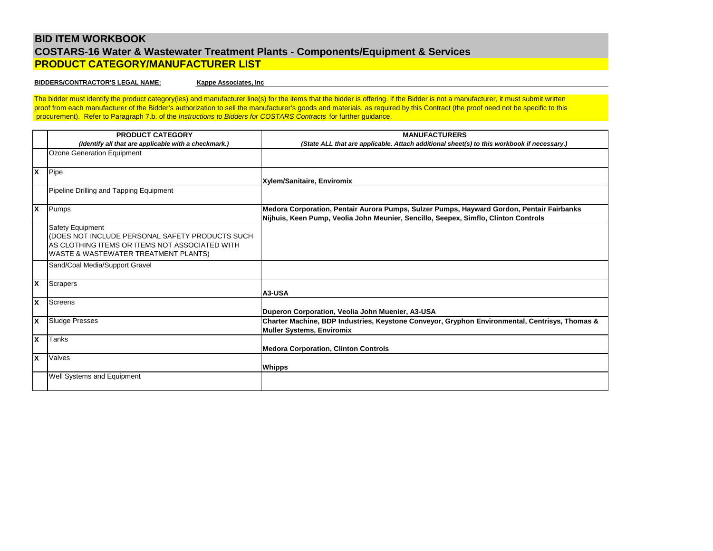# **BID ITEM WORKBOOK COSTARS-16 Water & Wastewater Treatment Plants - Components/Equipment & Services PRODUCT CATEGORY/MANUFACTURER LIST**

#### **BIDDERS/CONTRACTOR'S LEGAL NAME:**

**Kappe Associates, Inc**

The bidder must identify the product category(ies) and manufacturer line(s) for the items that the bidder is offering. If the Bidder is not a manufacturer, it must submit written proof from each manufacturer of the Bidder's authorization to sell the manufacturer's goods and materials, as required by this Contract (the proof need not be specific to this procurement). Refer to Paragraph 7.b. of the *Instructions to Bidders for COSTARS Contracts* for further guidance.

|                           | <b>PRODUCT CATEGORY</b><br>(Identify all that are applicable with a checkmark.) | <b>MANUFACTURERS</b><br>(State ALL that are applicable. Attach additional sheet(s) to this workbook if necessary.) |
|---------------------------|---------------------------------------------------------------------------------|--------------------------------------------------------------------------------------------------------------------|
|                           |                                                                                 |                                                                                                                    |
|                           | Ozone Generation Equipment                                                      |                                                                                                                    |
| $\boldsymbol{\mathsf{x}}$ | Pipe                                                                            |                                                                                                                    |
|                           |                                                                                 | Xylem/Sanitaire, Enviromix                                                                                         |
|                           | Pipeline Drilling and Tapping Equipment                                         |                                                                                                                    |
| X                         | Pumps                                                                           | Medora Corporation, Pentair Aurora Pumps, Sulzer Pumps, Hayward Gordon, Pentair Fairbanks                          |
|                           |                                                                                 | Nijhuis, Keen Pump, Veolia John Meunier, Sencillo, Seepex, Simflo, Clinton Controls                                |
|                           | <b>Safety Equipment</b>                                                         |                                                                                                                    |
|                           | (DOES NOT INCLUDE PERSONAL SAFETY PRODUCTS SUCH                                 |                                                                                                                    |
|                           | AS CLOTHING ITEMS OR ITEMS NOT ASSOCIATED WITH                                  |                                                                                                                    |
|                           | WASTE & WASTEWATER TREATMENT PLANTS)                                            |                                                                                                                    |
|                           | Sand/Coal Media/Support Gravel                                                  |                                                                                                                    |
|                           |                                                                                 |                                                                                                                    |
| $\boldsymbol{\mathsf{x}}$ | Scrapers                                                                        |                                                                                                                    |
|                           |                                                                                 | A3-USA                                                                                                             |
| x                         | Screens                                                                         |                                                                                                                    |
|                           |                                                                                 | Duperon Corporation, Veolia John Muenier, A3-USA                                                                   |
| X                         | <b>Sludge Presses</b>                                                           | Charter Machine, BDP Industries, Keystone Conveyor, Gryphon Environmental, Centrisys, Thomas &                     |
|                           |                                                                                 | <b>Muller Systems, Enviromix</b>                                                                                   |
| X                         | Tanks                                                                           |                                                                                                                    |
|                           |                                                                                 | <b>Medora Corporation, Clinton Controls</b>                                                                        |
| X                         | Valves                                                                          |                                                                                                                    |
|                           |                                                                                 | <b>Whipps</b>                                                                                                      |
|                           | <b>Well Systems and Equipment</b>                                               |                                                                                                                    |
|                           |                                                                                 |                                                                                                                    |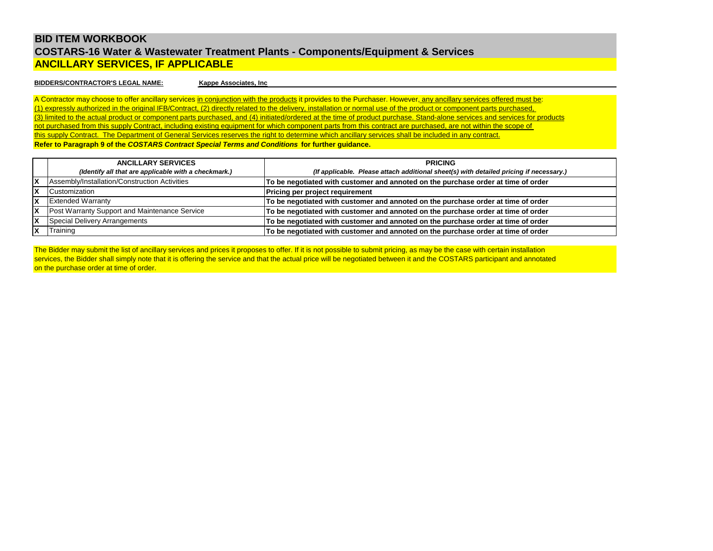# **BID ITEM WORKBOOK COSTARS-16 Water & Wastewater Treatment Plants - Components/Equipment & Services ANCILLARY SERVICES, IF APPLICABLE**

## **BIDDERS/CONTRACTOR'S LEGAL NAME:**

**Kappe Associates, Inc**

(1) expressly authorized in the original IFB/Contract, (2) directly related to the delivery, installation or normal use of the product or component parts purchased, A Contractor may choose to offer ancillary services in conjunction with the products it provides to the Purchaser. However, any ancillary services offered must be: (3) limited to the actual product or component parts purchased, and (4) initiated/ordered at the time of product purchase. Stand-alone services and services for products not purchased from this supply Contract, including existing equipment for which component parts from this contract are purchased, are not within the scope of this supply Contract. The Department of General Services reserves the right to determine which ancillary services shall be included in any contract. **Refer to Paragraph 9 of the** *COSTARS Contract Special Terms and Conditions* **for further guidance.**

|     | <b>ANCILLARY SERVICES</b>                            | <b>PRICING</b>                                                                         |
|-----|------------------------------------------------------|----------------------------------------------------------------------------------------|
|     | (Identify all that are applicable with a checkmark.) | (If applicable. Please attach additional sheet(s) with detailed pricing if necessary.) |
| X   | Assembly/Installation/Construction Activities        | To be negotiated with customer and annoted on the purchase order at time of order      |
| X   | <b>Customization</b>                                 | <b>Pricing per project requirement</b>                                                 |
| X   | <b>Extended Warranty</b>                             | To be negotiated with customer and annoted on the purchase order at time of order      |
| lX. | Post Warranty Support and Maintenance Service        | To be negotiated with customer and annoted on the purchase order at time of order      |
| X   | Special Delivery Arrangements                        | To be negotiated with customer and annoted on the purchase order at time of order      |
| X   | Training                                             | To be negotiated with customer and annoted on the purchase order at time of order      |

on the purchase order at time of order. The Bidder may submit the list of ancillary services and prices it proposes to offer. If it is not possible to submit pricing, as may be the case with certain installation services, the Bidder shall simply note that it is offering the service and that the actual price will be negotiated between it and the COSTARS participant and annotated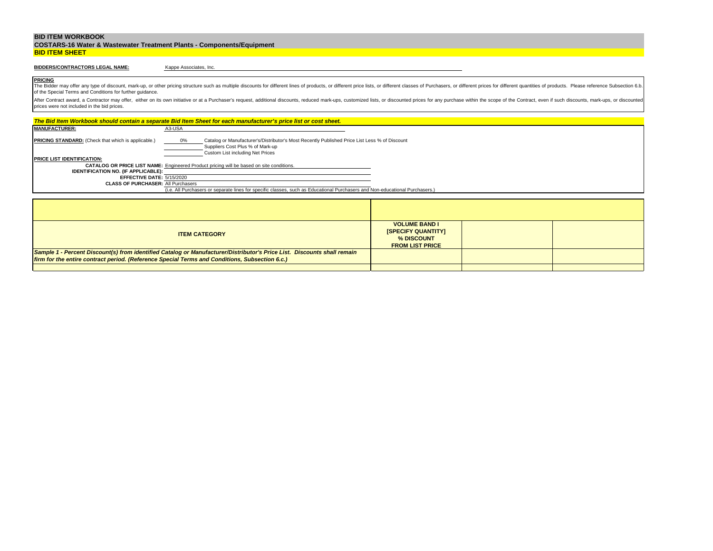| <b>COSTARS-16 Water &amp; Wastewater Treatment Plants - Components/Equipment</b> |  |
|----------------------------------------------------------------------------------|--|
| <b>BID ITEM SHEET</b>                                                            |  |

# **BIDDERS/CONTRACTORS LEGAL NAME:**

Kappe Associates, Inc.

**PRICING** The Bidder may offer any type of discount, mark-up, or other pricing structure such as multiple discounts for different lines of products, or different price lists, or different classes of Purchasers, or different prices f of the Special Terms and Conditions for further guidance.

|                                                                                                                              | The Bid Item Workbook should contain a separate Bid Item Sheet for each manufacturer's price list or cost sheet.                                                            |                                                                                           |  |  |
|------------------------------------------------------------------------------------------------------------------------------|-----------------------------------------------------------------------------------------------------------------------------------------------------------------------------|-------------------------------------------------------------------------------------------|--|--|
| <b>MANUFACTURER:</b>                                                                                                         | A3-USA                                                                                                                                                                      |                                                                                           |  |  |
| <b>PRICING STANDARD:</b> (Check that which is applicable.)                                                                   | Catalog or Manufacturer's/Distributor's Most Recently Published Price List Less % of Discount<br>0%<br>Suppliers Cost Plus % of Mark-up<br>Custom List including Net Prices |                                                                                           |  |  |
| <b>PRICE LIST IDENTIFICATION:</b>                                                                                            |                                                                                                                                                                             |                                                                                           |  |  |
| <b>CATALOG OR PRICE LIST NAME:</b> Engineered Product pricing will be based on site conditions.                              |                                                                                                                                                                             |                                                                                           |  |  |
|                                                                                                                              | <b>IDENTIFICATION NO. (IF APPLICABLE):</b>                                                                                                                                  |                                                                                           |  |  |
| EFFECTIVE DATE: 5/15/2020<br><b>CLASS OF PURCHASER: All Purchasers</b>                                                       |                                                                                                                                                                             |                                                                                           |  |  |
| (i.e. All Purchasers or separate lines for specific classes, such as Educational Purchasers and Non-educational Purchasers.) |                                                                                                                                                                             |                                                                                           |  |  |
|                                                                                                                              |                                                                                                                                                                             |                                                                                           |  |  |
|                                                                                                                              |                                                                                                                                                                             |                                                                                           |  |  |
|                                                                                                                              |                                                                                                                                                                             |                                                                                           |  |  |
|                                                                                                                              |                                                                                                                                                                             |                                                                                           |  |  |
|                                                                                                                              | <b>ITEM CATEGORY</b>                                                                                                                                                        | <b>VOLUME BAND I</b><br><b>ISPECIFY QUANTITYI</b><br>% DISCOUNT<br><b>FROM LIST PRICE</b> |  |  |
|                                                                                                                              | Sample 1 - Percent Discount(s) from identified Catalog or Manufacturer/Distributor's Price List. Discounts shall remain                                                     |                                                                                           |  |  |
| firm for the entire contract period. (Reference Special Terms and Conditions, Subsection 6.c.)                               |                                                                                                                                                                             |                                                                                           |  |  |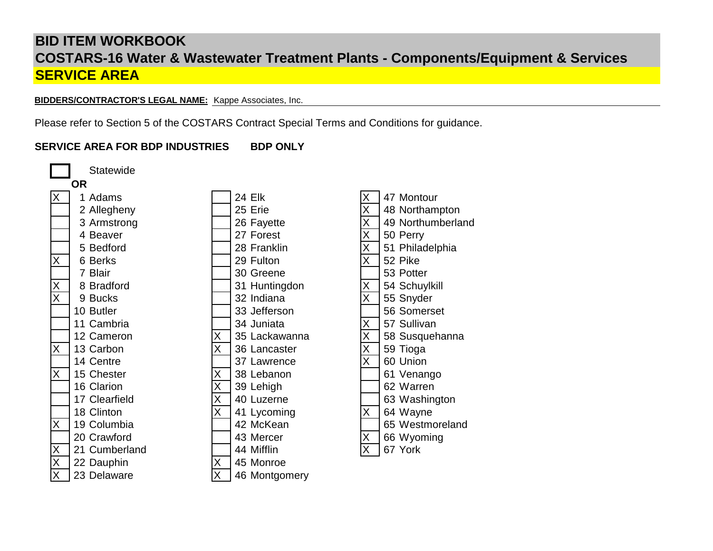**BIDDERS/CONTRACTOR'S LEGAL NAME:** Kappe Associates, Inc.

Please refer to Section 5 of the COSTARS Contract Special Terms and Conditions for guidance.

# **SERVICE AREA FOR BDP INDUSTRIES BDP ONLY**

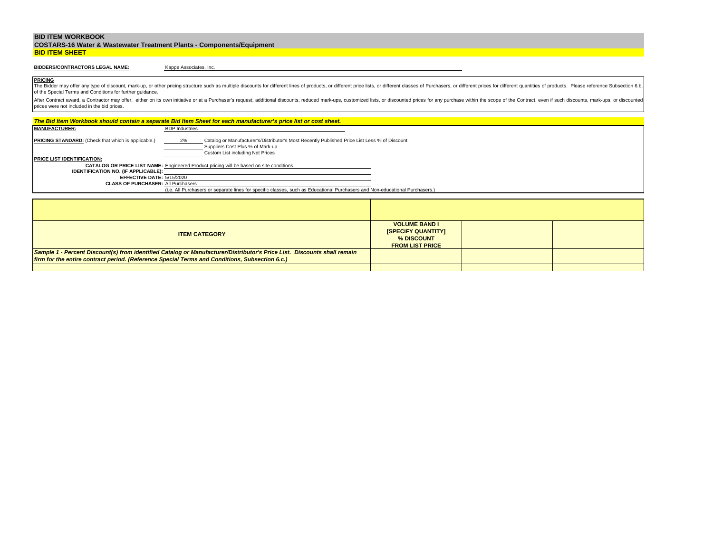|                       | <b>COSTARS-16 Water &amp; Wastewater Treatment Plants - Components/Equipment</b> |
|-----------------------|----------------------------------------------------------------------------------|
| <b>BID ITEM SHEET</b> |                                                                                  |

# **BIDDERS/CONTRACTORS LEGAL NAME:**

Kappe Associates, Inc.

**PRICING** The Bidder may offer any type of discount, mark-up, or other pricing structure such as multiple discounts for different lines of products, or different price lists, or different classes of Purchasers, or different prices f of the Special Terms and Conditions for further guidance.

|                                                                                                | The Bid Item Workbook should contain a separate Bid Item Sheet for each manufacturer's price list or cost sheet.                                                            |                                                                                           |  |  |
|------------------------------------------------------------------------------------------------|-----------------------------------------------------------------------------------------------------------------------------------------------------------------------------|-------------------------------------------------------------------------------------------|--|--|
| <b>MANUFACTURER:</b>                                                                           | <b>BDP</b> Industries                                                                                                                                                       |                                                                                           |  |  |
| <b>PRICING STANDARD:</b> (Check that which is applicable.)                                     | 2%<br>Catalog or Manufacturer's/Distributor's Most Recently Published Price List Less % of Discount<br>Suppliers Cost Plus % of Mark-up<br>Custom List including Net Prices |                                                                                           |  |  |
| <b>PRICE LIST IDENTIFICATION:</b>                                                              |                                                                                                                                                                             |                                                                                           |  |  |
|                                                                                                | <b>CATALOG OR PRICE LIST NAME:</b> Engineered Product pricing will be based on site conditions.                                                                             |                                                                                           |  |  |
| <b>IDENTIFICATION NO. (IF APPLICABLE):</b><br>EFFECTIVE DATE: 5/15/2020                        |                                                                                                                                                                             |                                                                                           |  |  |
|                                                                                                |                                                                                                                                                                             |                                                                                           |  |  |
|                                                                                                | <b>CLASS OF PURCHASER: All Purchasers</b><br>(i.e. All Purchasers or separate lines for specific classes, such as Educational Purchasers and Non-educational Purchasers.)   |                                                                                           |  |  |
|                                                                                                |                                                                                                                                                                             |                                                                                           |  |  |
|                                                                                                |                                                                                                                                                                             |                                                                                           |  |  |
|                                                                                                |                                                                                                                                                                             |                                                                                           |  |  |
|                                                                                                |                                                                                                                                                                             |                                                                                           |  |  |
|                                                                                                | <b>ITEM CATEGORY</b>                                                                                                                                                        | <b>VOLUME BAND I</b><br><b>ISPECIFY QUANTITYI</b><br>% DISCOUNT<br><b>FROM LIST PRICE</b> |  |  |
|                                                                                                | Sample 1 - Percent Discount(s) from identified Catalog or Manufacturer/Distributor's Price List. Discounts shall remain                                                     |                                                                                           |  |  |
| firm for the entire contract period. (Reference Special Terms and Conditions, Subsection 6.c.) |                                                                                                                                                                             |                                                                                           |  |  |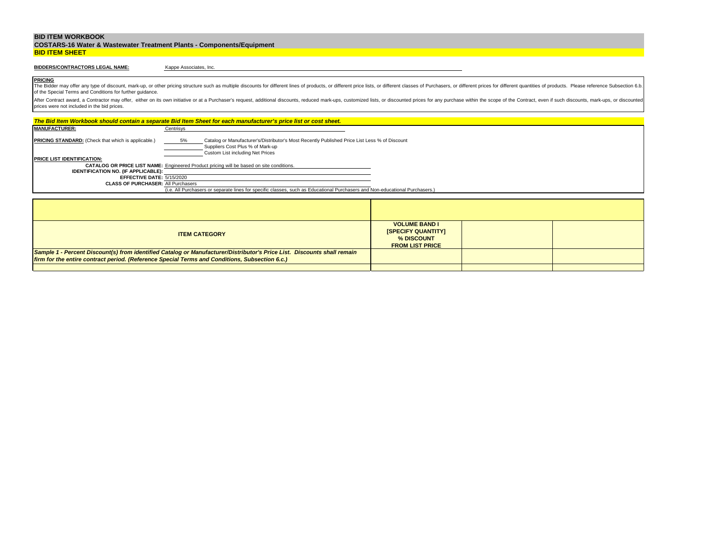|                       | <b>COSTARS-16 Water &amp; Wastewater Treatment Plants - Components/Equipment</b> |
|-----------------------|----------------------------------------------------------------------------------|
| <b>BID ITEM SHEET</b> |                                                                                  |

# **BIDDERS/CONTRACTORS LEGAL NAME:**

Kappe Associates, Inc.

**PRICING** The Bidder may offer any type of discount, mark-up, or other pricing structure such as multiple discounts for different lines of products, or different price lists, or different classes of Purchasers, or different prices f of the Special Terms and Conditions for further guidance.

|                                                                                                                                                                           | The Bid Item Workbook should contain a separate Bid Item Sheet for each manufacturer's price list or cost sheet.                                                            |                                                                                           |  |
|---------------------------------------------------------------------------------------------------------------------------------------------------------------------------|-----------------------------------------------------------------------------------------------------------------------------------------------------------------------------|-------------------------------------------------------------------------------------------|--|
| <b>MANUFACTURER:</b>                                                                                                                                                      | Centrisys                                                                                                                                                                   |                                                                                           |  |
| <b>PRICING STANDARD:</b> (Check that which is applicable.)                                                                                                                | Catalog or Manufacturer's/Distributor's Most Recently Published Price List Less % of Discount<br>5%<br>Suppliers Cost Plus % of Mark-up<br>Custom List including Net Prices |                                                                                           |  |
| <b>PRICE LIST IDENTIFICATION:</b>                                                                                                                                         |                                                                                                                                                                             |                                                                                           |  |
|                                                                                                                                                                           | CATALOG OR PRICE LIST NAME: Engineered Product pricing will be based on site conditions.                                                                                    |                                                                                           |  |
| <b>IDENTIFICATION NO. (IF APPLICABLE):</b>                                                                                                                                |                                                                                                                                                                             |                                                                                           |  |
| EFFECTIVE DATE: 5/15/2020                                                                                                                                                 |                                                                                                                                                                             |                                                                                           |  |
| <b>CLASS OF PURCHASER: All Purchasers</b><br>(i.e. All Purchasers or separate lines for specific classes, such as Educational Purchasers and Non-educational Purchasers.) |                                                                                                                                                                             |                                                                                           |  |
|                                                                                                                                                                           |                                                                                                                                                                             |                                                                                           |  |
|                                                                                                                                                                           |                                                                                                                                                                             |                                                                                           |  |
|                                                                                                                                                                           |                                                                                                                                                                             |                                                                                           |  |
|                                                                                                                                                                           |                                                                                                                                                                             |                                                                                           |  |
|                                                                                                                                                                           | <b>ITEM CATEGORY</b>                                                                                                                                                        | <b>VOLUME BAND I</b><br><b>ISPECIFY QUANTITYI</b><br>% DISCOUNT<br><b>FROM LIST PRICE</b> |  |
|                                                                                                                                                                           | Sample 1 - Percent Discount(s) from identified Catalog or Manufacturer/Distributor's Price List. Discounts shall remain                                                     |                                                                                           |  |
| firm for the entire contract period. (Reference Special Terms and Conditions, Subsection 6.c.)                                                                            |                                                                                                                                                                             |                                                                                           |  |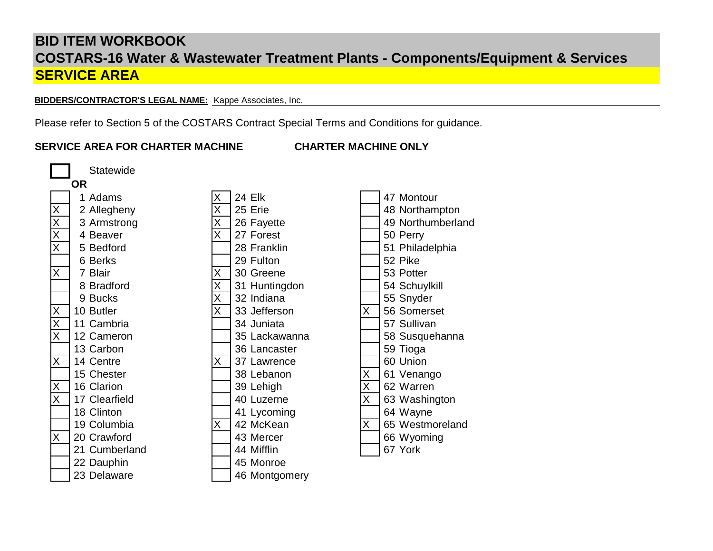**BIDDERS/CONTRACTOR'S LEGAL NAME:** Kappe Associates, Inc.

Please refer to Section 5 of the COSTARS Contract Special Terms and Conditions for guidance.

# **SERVICE AREA FOR CHARTER MACHINE CHARTER MACHINE ONLY**

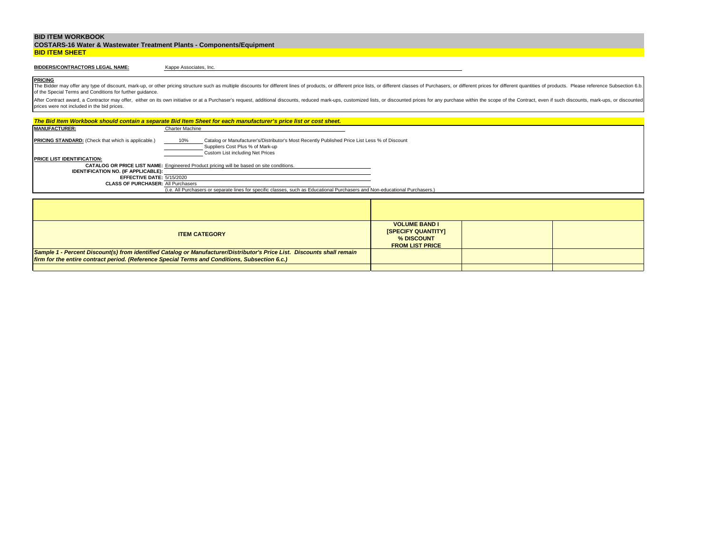|                       | <b>COSTARS-16 Water &amp; Wastewater Treatment Plants - Components/Equipment</b> |
|-----------------------|----------------------------------------------------------------------------------|
| <b>BID ITEM SHEET</b> |                                                                                  |

# **BIDDERS/CONTRACTORS LEGAL NAME:**

Kappe Associates, Inc.

**PRICING** The Bidder may offer any type of discount, mark-up, or other pricing structure such as multiple discounts for different lines of products, or different price lists, or different classes of Purchasers, or different prices f of the Special Terms and Conditions for further guidance.

|                                                                        | The Bid Item Workbook should contain a separate Bid Item Sheet for each manufacturer's price list or cost sheet.                                                             |                                                                                           |  |
|------------------------------------------------------------------------|------------------------------------------------------------------------------------------------------------------------------------------------------------------------------|-------------------------------------------------------------------------------------------|--|
| <b>MANUFACTURER:</b>                                                   | Charter Machine                                                                                                                                                              |                                                                                           |  |
| <b>PRICING STANDARD:</b> (Check that which is applicable.)             | Catalog or Manufacturer's/Distributor's Most Recently Published Price List Less % of Discount<br>10%<br>Suppliers Cost Plus % of Mark-up<br>Custom List including Net Prices |                                                                                           |  |
| <b>PRICE LIST IDENTIFICATION:</b>                                      |                                                                                                                                                                              |                                                                                           |  |
|                                                                        | <b>CATALOG OR PRICE LIST NAME:</b> Engineered Product pricing will be based on site conditions.                                                                              |                                                                                           |  |
| <b>IDENTIFICATION NO. (IF APPLICABLE):</b>                             |                                                                                                                                                                              |                                                                                           |  |
| EFFECTIVE DATE: 5/15/2020<br><b>CLASS OF PURCHASER: All Purchasers</b> |                                                                                                                                                                              |                                                                                           |  |
|                                                                        | (i.e. All Purchasers or separate lines for specific classes, such as Educational Purchasers and Non-educational Purchasers.)                                                 |                                                                                           |  |
|                                                                        |                                                                                                                                                                              |                                                                                           |  |
|                                                                        |                                                                                                                                                                              |                                                                                           |  |
|                                                                        |                                                                                                                                                                              |                                                                                           |  |
|                                                                        |                                                                                                                                                                              |                                                                                           |  |
|                                                                        | <b>ITEM CATEGORY</b>                                                                                                                                                         | <b>VOLUME BAND I</b><br><b>ISPECIFY QUANTITYI</b><br>% DISCOUNT<br><b>FROM LIST PRICE</b> |  |
|                                                                        | Sample 1 - Percent Discount(s) from identified Catalog or Manufacturer/Distributor's Price List. Discounts shall remain                                                      |                                                                                           |  |
|                                                                        | firm for the entire contract period. (Reference Special Terms and Conditions, Subsection 6.c.)                                                                               |                                                                                           |  |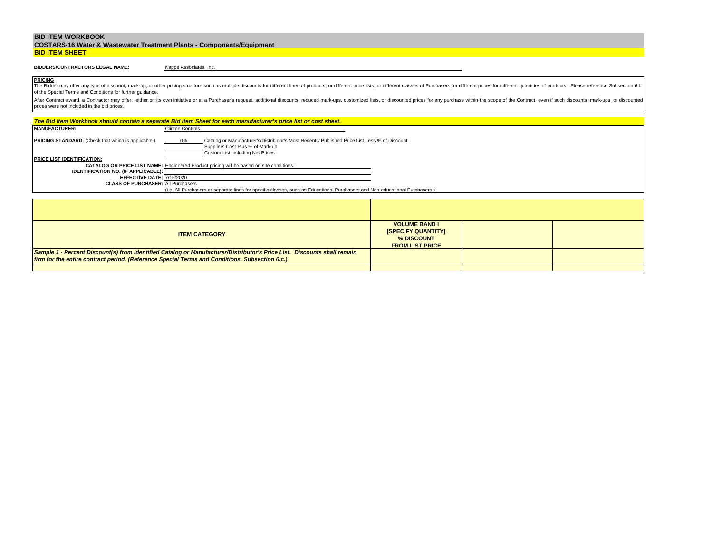|                       | <b>COSTARS-16 Water &amp; Wastewater Treatment Plants - Components/Equipment</b> |
|-----------------------|----------------------------------------------------------------------------------|
| <b>BID ITEM SHEET</b> |                                                                                  |

# **BIDDERS/CONTRACTORS LEGAL NAME:**

Kappe Associates, Inc.

**PRICING** The Bidder may offer any type of discount, mark-up, or other pricing structure such as multiple discounts for different lines of products, or different price lists, or different classes of Purchasers, or different prices f of the Special Terms and Conditions for further guidance.

|                                                                                                | The Bid Item Workbook should contain a separate Bid Item Sheet for each manufacturer's price list or cost sheet.                                                            |                                                                                           |  |
|------------------------------------------------------------------------------------------------|-----------------------------------------------------------------------------------------------------------------------------------------------------------------------------|-------------------------------------------------------------------------------------------|--|
| <b>MANUFACTURER:</b>                                                                           | <b>Clinton Controls</b>                                                                                                                                                     |                                                                                           |  |
| <b>PRICING STANDARD:</b> (Check that which is applicable.)                                     | Catalog or Manufacturer's/Distributor's Most Recently Published Price List Less % of Discount<br>0%<br>Suppliers Cost Plus % of Mark-up<br>Custom List including Net Prices |                                                                                           |  |
| <b>PRICE LIST IDENTIFICATION:</b>                                                              |                                                                                                                                                                             |                                                                                           |  |
|                                                                                                | <b>CATALOG OR PRICE LIST NAME:</b> Engineered Product pricing will be based on site conditions.                                                                             |                                                                                           |  |
| <b>IDENTIFICATION NO. (IF APPLICABLE):</b>                                                     |                                                                                                                                                                             |                                                                                           |  |
| EFFECTIVE DATE: 7/15/2020<br><b>CLASS OF PURCHASER: All Purchasers</b>                         |                                                                                                                                                                             |                                                                                           |  |
|                                                                                                | (i.e. All Purchasers or separate lines for specific classes, such as Educational Purchasers and Non-educational Purchasers.)                                                |                                                                                           |  |
|                                                                                                |                                                                                                                                                                             |                                                                                           |  |
|                                                                                                |                                                                                                                                                                             |                                                                                           |  |
|                                                                                                |                                                                                                                                                                             |                                                                                           |  |
|                                                                                                |                                                                                                                                                                             |                                                                                           |  |
|                                                                                                | <b>ITEM CATEGORY</b>                                                                                                                                                        | <b>VOLUME BAND I</b><br><b>ISPECIFY QUANTITYI</b><br>% DISCOUNT<br><b>FROM LIST PRICE</b> |  |
|                                                                                                | Sample 1 - Percent Discount(s) from identified Catalog or Manufacturer/Distributor's Price List. Discounts shall remain                                                     |                                                                                           |  |
| firm for the entire contract period. (Reference Special Terms and Conditions, Subsection 6.c.) |                                                                                                                                                                             |                                                                                           |  |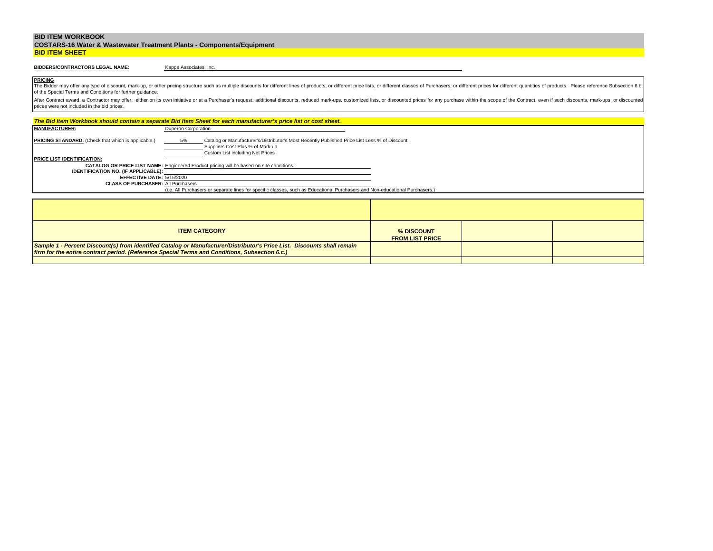| <b>COSTARS-16 Water &amp; Wastewater Treatment Plants - Components/Equipment</b> |  |
|----------------------------------------------------------------------------------|--|
| <b>BID ITEM SHEET</b>                                                            |  |

# **BIDDERS/CONTRACTORS LEGAL NAME:**

Kappe Associates, Inc.

**PRICING** The Bidder may offer any type of discount, mark-up, or other pricing structure such as multiple discounts for different lines of products, or different price lists, or different classes of Purchasers, or different prices f of the Special Terms and Conditions for further guidance.

|                                                                                                 |                            | The Bid Item Workbook should contain a separate Bid Item Sheet for each manufacturer's price list or cost sheet.                                                      |                                      |  |
|-------------------------------------------------------------------------------------------------|----------------------------|-----------------------------------------------------------------------------------------------------------------------------------------------------------------------|--------------------------------------|--|
| <b>MANUFACTURER:</b>                                                                            | <b>Duperon Corporation</b> |                                                                                                                                                                       |                                      |  |
| <b>PRICING STANDARD:</b> (Check that which is applicable.)<br><b>PRICE LIST IDENTIFICATION:</b> | 5%                         | Catalog or Manufacturer's/Distributor's Most Recently Published Price List Less % of Discount<br>Suppliers Cost Plus % of Mark-up<br>Custom List including Net Prices |                                      |  |
|                                                                                                 |                            | <b>CATALOG OR PRICE LIST NAME:</b> Engineered Product pricing will be based on site conditions.                                                                       |                                      |  |
| <b>IDENTIFICATION NO. (IF APPLICABLE):</b>                                                      |                            |                                                                                                                                                                       |                                      |  |
| EFFECTIVE DATE: 5/15/2020                                                                       |                            |                                                                                                                                                                       |                                      |  |
| <b>CLASS OF PURCHASER: All Purchasers</b>                                                       |                            |                                                                                                                                                                       |                                      |  |
|                                                                                                 |                            | (i.e. All Purchasers or separate lines for specific classes, such as Educational Purchasers and Non-educational Purchasers.)                                          |                                      |  |
|                                                                                                 |                            |                                                                                                                                                                       |                                      |  |
|                                                                                                 |                            |                                                                                                                                                                       |                                      |  |
|                                                                                                 |                            |                                                                                                                                                                       |                                      |  |
|                                                                                                 |                            | <b>ITEM CATEGORY</b>                                                                                                                                                  | % DISCOUNT<br><b>FROM LIST PRICE</b> |  |
|                                                                                                 |                            | Sample 1 - Percent Discount(s) from identified Catalog or Manufacturer/Distributor's Price List. Discounts shall remain                                               |                                      |  |
| firm for the entire contract period. (Reference Special Terms and Conditions, Subsection 6.c.)  |                            |                                                                                                                                                                       |                                      |  |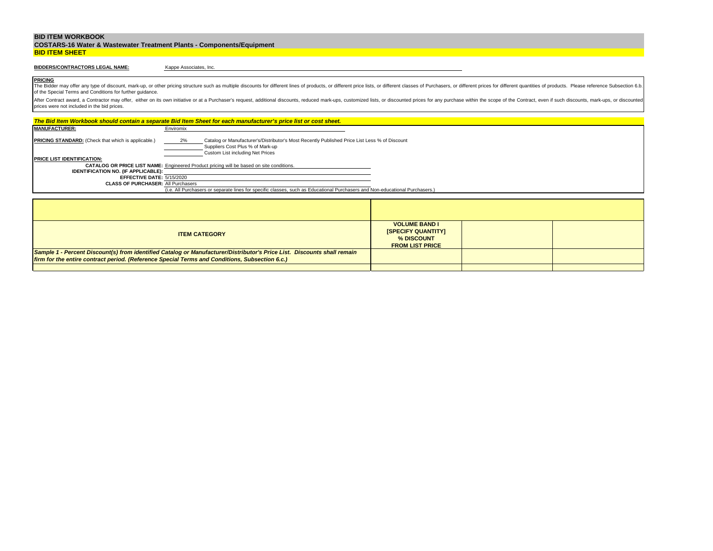|                       | <b>COSTARS-16 Water &amp; Wastewater Treatment Plants - Components/Equipment</b> |
|-----------------------|----------------------------------------------------------------------------------|
| <b>BID ITEM SHEET</b> |                                                                                  |

## **BIDDERS/CONTRACTORS LEGAL NAME:**

Kappe Associates, Inc.

**PRICING** The Bidder may offer any type of discount, mark-up, or other pricing structure such as multiple discounts for different lines of products, or different price lists, or different classes of Purchasers, or different prices f of the Special Terms and Conditions for further guidance.

|                                                                                                | The Bid Item Workbook should contain a separate Bid Item Sheet for each manufacturer's price list or cost sheet.                                                            |                                                                                           |  |
|------------------------------------------------------------------------------------------------|-----------------------------------------------------------------------------------------------------------------------------------------------------------------------------|-------------------------------------------------------------------------------------------|--|
| <b>MANUFACTURER:</b>                                                                           | Enviromix                                                                                                                                                                   |                                                                                           |  |
| <b>PRICING STANDARD:</b> (Check that which is applicable.)                                     | Catalog or Manufacturer's/Distributor's Most Recently Published Price List Less % of Discount<br>2%<br>Suppliers Cost Plus % of Mark-up<br>Custom List including Net Prices |                                                                                           |  |
| <b>PRICE LIST IDENTIFICATION:</b>                                                              |                                                                                                                                                                             |                                                                                           |  |
|                                                                                                | CATALOG OR PRICE LIST NAME: Engineered Product pricing will be based on site conditions.                                                                                    |                                                                                           |  |
| <b>IDENTIFICATION NO. (IF APPLICABLE):</b>                                                     |                                                                                                                                                                             |                                                                                           |  |
| EFFECTIVE DATE: 5/15/2020<br><b>CLASS OF PURCHASER: All Purchasers</b>                         |                                                                                                                                                                             |                                                                                           |  |
|                                                                                                | (i.e. All Purchasers or separate lines for specific classes, such as Educational Purchasers and Non-educational Purchasers.)                                                |                                                                                           |  |
|                                                                                                |                                                                                                                                                                             |                                                                                           |  |
|                                                                                                |                                                                                                                                                                             |                                                                                           |  |
|                                                                                                |                                                                                                                                                                             |                                                                                           |  |
|                                                                                                |                                                                                                                                                                             |                                                                                           |  |
|                                                                                                | <b>ITEM CATEGORY</b>                                                                                                                                                        | <b>VOLUME BAND I</b><br><b>ISPECIFY QUANTITYI</b><br>% DISCOUNT<br><b>FROM LIST PRICE</b> |  |
|                                                                                                | Sample 1 - Percent Discount(s) from identified Catalog or Manufacturer/Distributor's Price List. Discounts shall remain                                                     |                                                                                           |  |
| firm for the entire contract period. (Reference Special Terms and Conditions, Subsection 6.c.) |                                                                                                                                                                             |                                                                                           |  |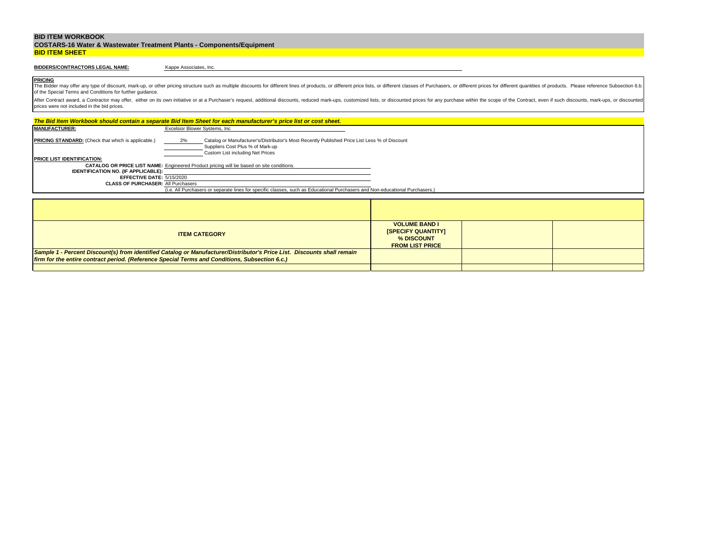|                       | <b>COSTARS-16 Water &amp; Wastewater Treatment Plants - Components/Equipment</b> |
|-----------------------|----------------------------------------------------------------------------------|
| <b>BID ITEM SHEET</b> |                                                                                  |

# **BIDDERS/CONTRACTORS LEGAL NAME:**

Kappe Associates, Inc.

**PRICING** The Bidder may offer any type of discount, mark-up, or other pricing structure such as multiple discounts for different lines of products, or different price lists, or different classes of Purchasers, or different prices f of the Special Terms and Conditions for further guidance.

|                                                                         | The Bid Item Workbook should contain a separate Bid Item Sheet for each manufacturer's price list or cost sheet.                                                            |                                                                                           |  |
|-------------------------------------------------------------------------|-----------------------------------------------------------------------------------------------------------------------------------------------------------------------------|-------------------------------------------------------------------------------------------|--|
| <b>MANUFACTURER:</b>                                                    | Excelsior Blower Systems, Inc.                                                                                                                                              |                                                                                           |  |
| <b>PRICING STANDARD:</b> (Check that which is applicable.)              | 2%<br>Catalog or Manufacturer's/Distributor's Most Recently Published Price List Less % of Discount<br>Suppliers Cost Plus % of Mark-up<br>Custom List including Net Prices |                                                                                           |  |
| <b>PRICE LIST IDENTIFICATION:</b>                                       |                                                                                                                                                                             |                                                                                           |  |
|                                                                         | <b>CATALOG OR PRICE LIST NAME:</b> Engineered Product pricing will be based on site conditions.                                                                             |                                                                                           |  |
| <b>IDENTIFICATION NO. (IF APPLICABLE):</b><br>EFFECTIVE DATE: 5/15/2020 |                                                                                                                                                                             |                                                                                           |  |
| <b>CLASS OF PURCHASER: All Purchasers</b>                               |                                                                                                                                                                             |                                                                                           |  |
|                                                                         | (i.e. All Purchasers or separate lines for specific classes, such as Educational Purchasers and Non-educational Purchasers.)                                                |                                                                                           |  |
|                                                                         |                                                                                                                                                                             |                                                                                           |  |
|                                                                         |                                                                                                                                                                             |                                                                                           |  |
|                                                                         |                                                                                                                                                                             |                                                                                           |  |
|                                                                         |                                                                                                                                                                             |                                                                                           |  |
|                                                                         | <b>ITEM CATEGORY</b>                                                                                                                                                        | <b>VOLUME BAND I</b><br><b>ISPECIFY QUANTITYI</b><br>% DISCOUNT<br><b>FROM LIST PRICE</b> |  |
|                                                                         | Sample 1 - Percent Discount(s) from identified Catalog or Manufacturer/Distributor's Price List. Discounts shall remain                                                     |                                                                                           |  |
|                                                                         | firm for the entire contract period. (Reference Special Terms and Conditions, Subsection 6.c.)                                                                              |                                                                                           |  |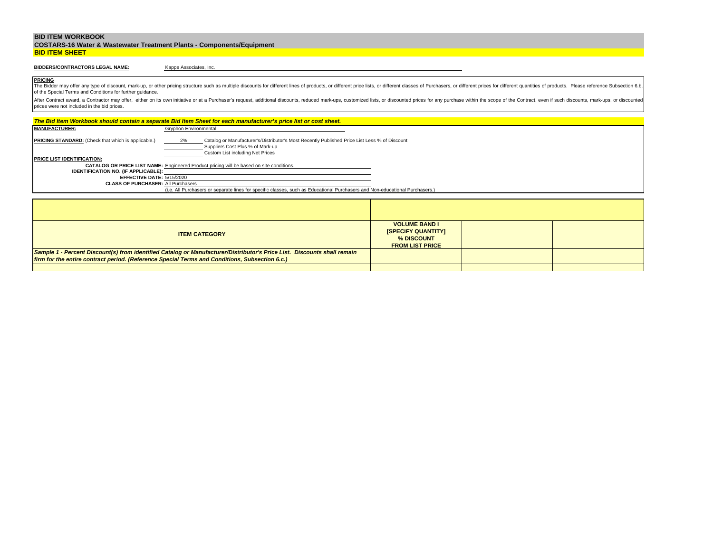|                       | <b>COSTARS-16 Water &amp; Wastewater Treatment Plants - Components/Equipment</b> |
|-----------------------|----------------------------------------------------------------------------------|
| <b>BID ITEM SHEET</b> |                                                                                  |

## **BIDDERS/CONTRACTORS LEGAL NAME:**

Kappe Associates, Inc.

**PRICING** The Bidder may offer any type of discount, mark-up, or other pricing structure such as multiple discounts for different lines of products, or different price lists, or different classes of Purchasers, or different prices f of the Special Terms and Conditions for further guidance.

|                                                                        | The Bid Item Workbook should contain a separate Bid Item Sheet for each manufacturer's price list or cost sheet.                                                            |                                                                                           |  |
|------------------------------------------------------------------------|-----------------------------------------------------------------------------------------------------------------------------------------------------------------------------|-------------------------------------------------------------------------------------------|--|
| <b>MANUFACTURER:</b>                                                   | Gryphon Environmental                                                                                                                                                       |                                                                                           |  |
| <b>PRICING STANDARD:</b> (Check that which is applicable.)             | Catalog or Manufacturer's/Distributor's Most Recently Published Price List Less % of Discount<br>2%<br>Suppliers Cost Plus % of Mark-up<br>Custom List including Net Prices |                                                                                           |  |
| <b>PRICE LIST IDENTIFICATION:</b>                                      |                                                                                                                                                                             |                                                                                           |  |
|                                                                        | <b>CATALOG OR PRICE LIST NAME:</b> Engineered Product pricing will be based on site conditions.                                                                             |                                                                                           |  |
| <b>IDENTIFICATION NO. (IF APPLICABLE):</b>                             |                                                                                                                                                                             |                                                                                           |  |
| EFFECTIVE DATE: 5/15/2020<br><b>CLASS OF PURCHASER: All Purchasers</b> |                                                                                                                                                                             |                                                                                           |  |
|                                                                        | (i.e. All Purchasers or separate lines for specific classes, such as Educational Purchasers and Non-educational Purchasers.)                                                |                                                                                           |  |
|                                                                        |                                                                                                                                                                             |                                                                                           |  |
|                                                                        |                                                                                                                                                                             |                                                                                           |  |
|                                                                        |                                                                                                                                                                             |                                                                                           |  |
|                                                                        |                                                                                                                                                                             |                                                                                           |  |
|                                                                        | <b>ITEM CATEGORY</b>                                                                                                                                                        | <b>VOLUME BAND I</b><br><b>ISPECIFY QUANTITYI</b><br>% DISCOUNT<br><b>FROM LIST PRICE</b> |  |
|                                                                        | Sample 1 - Percent Discount(s) from identified Catalog or Manufacturer/Distributor's Price List. Discounts shall remain                                                     |                                                                                           |  |
|                                                                        | firm for the entire contract period. (Reference Special Terms and Conditions, Subsection 6.c.)                                                                              |                                                                                           |  |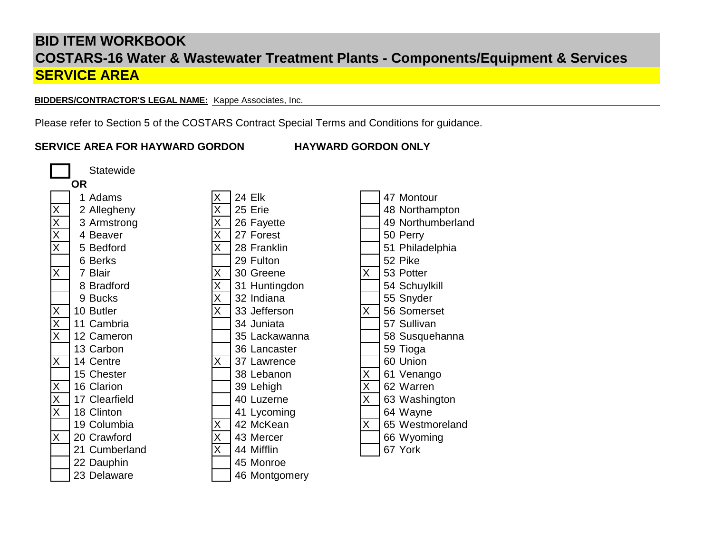**BIDDERS/CONTRACTOR'S LEGAL NAME:** Kappe Associates, Inc.

Please refer to Section 5 of the COSTARS Contract Special Terms and Conditions for guidance.

# **SERVICE AREA FOR HAYWARD GORDON HAYWARD GORDON ONLY**

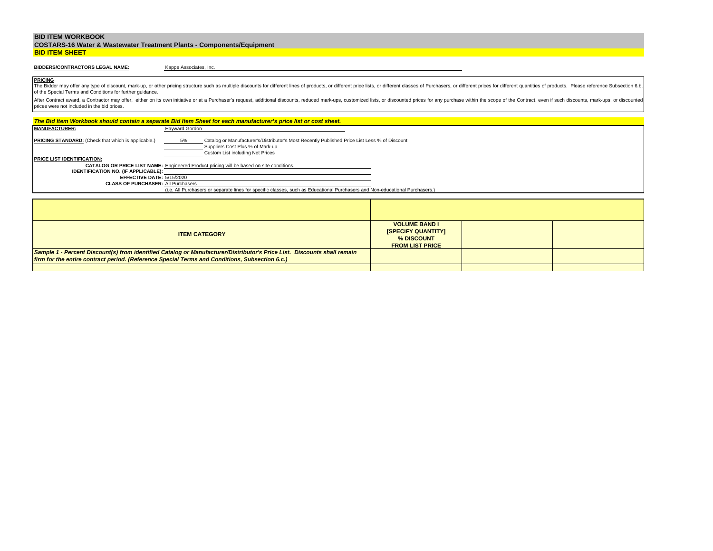|                       | <b>COSTARS-16 Water &amp; Wastewater Treatment Plants - Components/Equipment</b> |
|-----------------------|----------------------------------------------------------------------------------|
| <b>BID ITEM SHEET</b> |                                                                                  |

# **BIDDERS/CONTRACTORS LEGAL NAME:**

Kappe Associates, Inc.

**PRICING** The Bidder may offer any type of discount, mark-up, or other pricing structure such as multiple discounts for different lines of products, or different price lists, or different classes of Purchasers, or different prices f of the Special Terms and Conditions for further guidance.

| The Bid Item Workbook should contain a separate Bid Item Sheet for each manufacturer's price list or cost sheet. |                       |                                                                                                                                                                       |                                                                                           |  |  |
|------------------------------------------------------------------------------------------------------------------|-----------------------|-----------------------------------------------------------------------------------------------------------------------------------------------------------------------|-------------------------------------------------------------------------------------------|--|--|
| <b>MANUFACTURER:</b>                                                                                             | <b>Hayward Gordon</b> |                                                                                                                                                                       |                                                                                           |  |  |
| <b>PRICING STANDARD:</b> (Check that which is applicable.)                                                       | 5%                    | Catalog or Manufacturer's/Distributor's Most Recently Published Price List Less % of Discount<br>Suppliers Cost Plus % of Mark-up<br>Custom List including Net Prices |                                                                                           |  |  |
| <b>PRICE LIST IDENTIFICATION:</b>                                                                                |                       |                                                                                                                                                                       |                                                                                           |  |  |
|                                                                                                                  |                       | <b>CATALOG OR PRICE LIST NAME:</b> Engineered Product pricing will be based on site conditions.                                                                       |                                                                                           |  |  |
| <b>IDENTIFICATION NO. (IF APPLICABLE):</b>                                                                       |                       |                                                                                                                                                                       |                                                                                           |  |  |
| EFFECTIVE DATE: 5/15/2020<br><b>CLASS OF PURCHASER: All Purchasers</b>                                           |                       |                                                                                                                                                                       |                                                                                           |  |  |
|                                                                                                                  |                       | (i.e. All Purchasers or separate lines for specific classes, such as Educational Purchasers and Non-educational Purchasers.)                                          |                                                                                           |  |  |
|                                                                                                                  |                       |                                                                                                                                                                       |                                                                                           |  |  |
|                                                                                                                  |                       |                                                                                                                                                                       |                                                                                           |  |  |
|                                                                                                                  |                       |                                                                                                                                                                       |                                                                                           |  |  |
|                                                                                                                  |                       |                                                                                                                                                                       |                                                                                           |  |  |
|                                                                                                                  |                       | <b>ITEM CATEGORY</b>                                                                                                                                                  | <b>VOLUME BAND I</b><br><b>ISPECIFY QUANTITYI</b><br>% DISCOUNT<br><b>FROM LIST PRICE</b> |  |  |
|                                                                                                                  |                       | Sample 1 - Percent Discount(s) from identified Catalog or Manufacturer/Distributor's Price List. Discounts shall remain                                               |                                                                                           |  |  |
| firm for the entire contract period. (Reference Special Terms and Conditions, Subsection 6.c.)                   |                       |                                                                                                                                                                       |                                                                                           |  |  |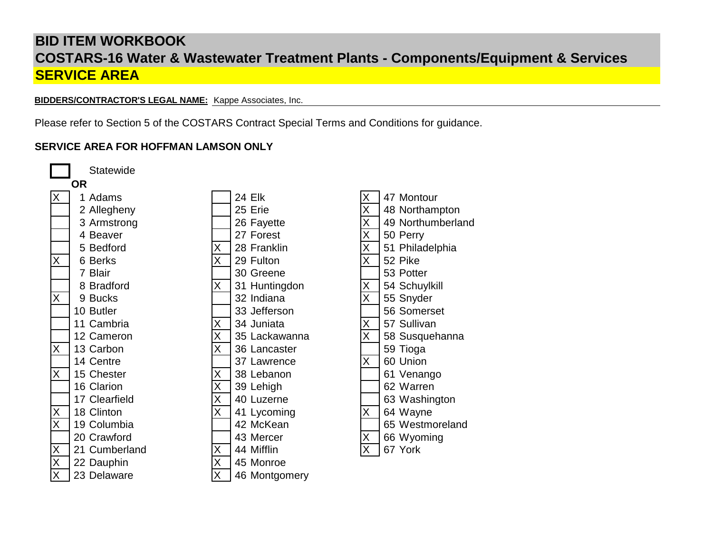**BIDDERS/CONTRACTOR'S LEGAL NAME:** Kappe Associates, Inc.

Please refer to Section 5 of the COSTARS Contract Special Terms and Conditions for guidance.

# **SERVICE AREA FOR HOFFMAN LAMSON ONLY**

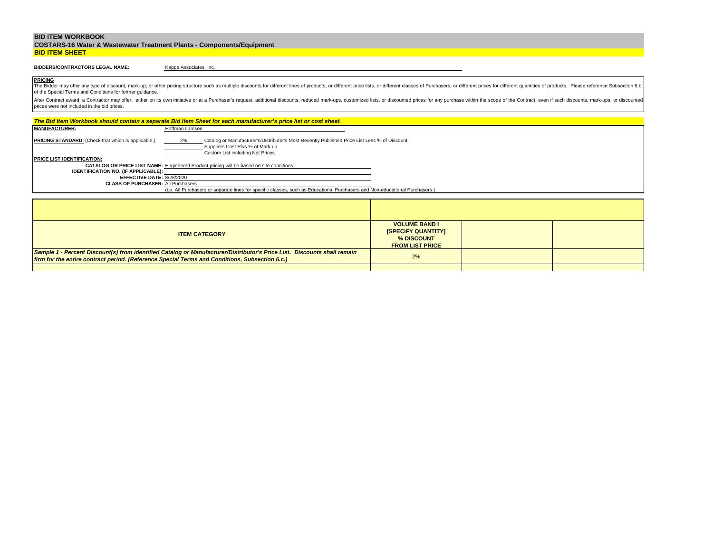|                       | <b>COSTARS-16 Water &amp; Wastewater Treatment Plants - Components/Equipment</b> |
|-----------------------|----------------------------------------------------------------------------------|
| <b>BID ITEM SHEET</b> |                                                                                  |

# **BIDDERS/CONTRACTORS LEGAL NAME:**

Kappe Associates, Inc.

**PRICING** The Bidder may offer any type of discount, mark-up, or other pricing structure such as multiple discounts for different lines of products, or different price lists, or different classes of Purchasers, or different prices f of the Special Terms and Conditions for further guidance.

|                                                                        | The Bid Item Workbook should contain a separate Bid Item Sheet for each manufacturer's price list or cost sheet.                                                            |                                                                 |  |
|------------------------------------------------------------------------|-----------------------------------------------------------------------------------------------------------------------------------------------------------------------------|-----------------------------------------------------------------|--|
| <b>MANUFACTURER:</b>                                                   | Hoffman Lamson                                                                                                                                                              |                                                                 |  |
| <b>PRICING STANDARD:</b> (Check that which is applicable.)             | Catalog or Manufacturer's/Distributor's Most Recently Published Price List Less % of Discount<br>2%<br>Suppliers Cost Plus % of Mark-up<br>Custom List including Net Prices |                                                                 |  |
| <b>PRICE LIST IDENTIFICATION:</b>                                      |                                                                                                                                                                             |                                                                 |  |
|                                                                        | <b>CATALOG OR PRICE LIST NAME:</b> Engineered Product pricing will be based on site conditions.                                                                             |                                                                 |  |
| <b>IDENTIFICATION NO. (IF APPLICABLE):</b>                             |                                                                                                                                                                             |                                                                 |  |
| EFFECTIVE DATE: 8/28/2020<br><b>CLASS OF PURCHASER: All Purchasers</b> |                                                                                                                                                                             |                                                                 |  |
|                                                                        | (i.e. All Purchasers or separate lines for specific classes, such as Educational Purchasers and Non-educational Purchasers.)                                                |                                                                 |  |
|                                                                        |                                                                                                                                                                             |                                                                 |  |
|                                                                        |                                                                                                                                                                             |                                                                 |  |
|                                                                        |                                                                                                                                                                             |                                                                 |  |
|                                                                        |                                                                                                                                                                             |                                                                 |  |
|                                                                        | <b>ITEM CATEGORY</b>                                                                                                                                                        | <b>VOLUME BAND I</b><br><b>ISPECIFY QUANTITYI</b><br>% DISCOUNT |  |
|                                                                        |                                                                                                                                                                             | <b>FROM LIST PRICE</b>                                          |  |
|                                                                        | Sample 1 - Percent Discount(s) from identified Catalog or Manufacturer/Distributor's Price List. Discounts shall remain                                                     | 2%                                                              |  |
|                                                                        | firm for the entire contract period. (Reference Special Terms and Conditions, Subsection 6.c.)                                                                              |                                                                 |  |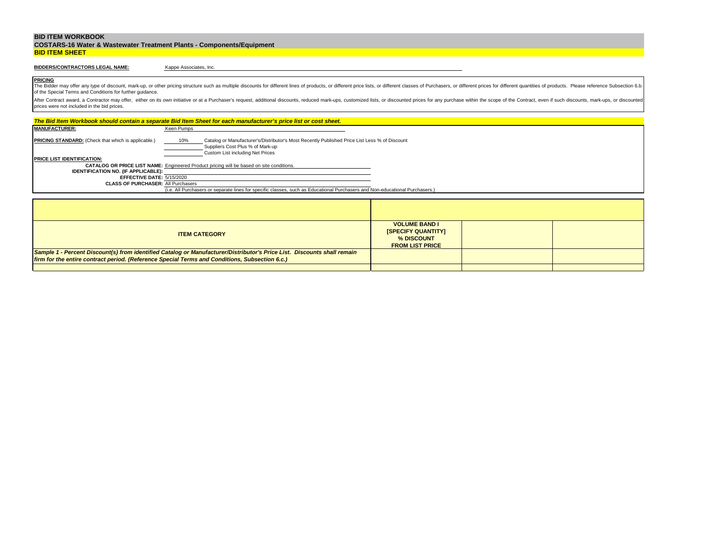|                       | <b>COSTARS-16 Water &amp; Wastewater Treatment Plants - Components/Equipment</b> |
|-----------------------|----------------------------------------------------------------------------------|
| <b>BID ITEM SHEET</b> |                                                                                  |

# **BIDDERS/CONTRACTORS LEGAL NAME:**

Kappe Associates, Inc.

**PRICING** The Bidder may offer any type of discount, mark-up, or other pricing structure such as multiple discounts for different lines of products, or different price lists, or different classes of Purchasers, or different prices f of the Special Terms and Conditions for further guidance.

|                                                                                                | The Bid Item Workbook should contain a separate Bid Item Sheet for each manufacturer's price list or cost sheet.                                                             |                                                                                           |  |
|------------------------------------------------------------------------------------------------|------------------------------------------------------------------------------------------------------------------------------------------------------------------------------|-------------------------------------------------------------------------------------------|--|
| <b>MANUFACTURER:</b>                                                                           | Keen Pumps                                                                                                                                                                   |                                                                                           |  |
| <b>PRICING STANDARD:</b> (Check that which is applicable.)                                     | Catalog or Manufacturer's/Distributor's Most Recently Published Price List Less % of Discount<br>10%<br>Suppliers Cost Plus % of Mark-up<br>Custom List including Net Prices |                                                                                           |  |
| <b>PRICE LIST IDENTIFICATION:</b>                                                              |                                                                                                                                                                              |                                                                                           |  |
|                                                                                                | <b>CATALOG OR PRICE LIST NAME:</b> Engineered Product pricing will be based on site conditions.                                                                              |                                                                                           |  |
| <b>IDENTIFICATION NO. (IF APPLICABLE):</b>                                                     |                                                                                                                                                                              |                                                                                           |  |
| EFFECTIVE DATE: 5/15/2020<br><b>CLASS OF PURCHASER: All Purchasers</b>                         |                                                                                                                                                                              |                                                                                           |  |
|                                                                                                | (i.e. All Purchasers or separate lines for specific classes, such as Educational Purchasers and Non-educational Purchasers.)                                                 |                                                                                           |  |
|                                                                                                |                                                                                                                                                                              |                                                                                           |  |
|                                                                                                |                                                                                                                                                                              |                                                                                           |  |
|                                                                                                |                                                                                                                                                                              |                                                                                           |  |
|                                                                                                |                                                                                                                                                                              |                                                                                           |  |
|                                                                                                | <b>ITEM CATEGORY</b>                                                                                                                                                         | <b>VOLUME BAND I</b><br><b>ISPECIFY QUANTITYI</b><br>% DISCOUNT<br><b>FROM LIST PRICE</b> |  |
|                                                                                                | Sample 1 - Percent Discount(s) from identified Catalog or Manufacturer/Distributor's Price List. Discounts shall remain                                                      |                                                                                           |  |
| firm for the entire contract period. (Reference Special Terms and Conditions, Subsection 6.c.) |                                                                                                                                                                              |                                                                                           |  |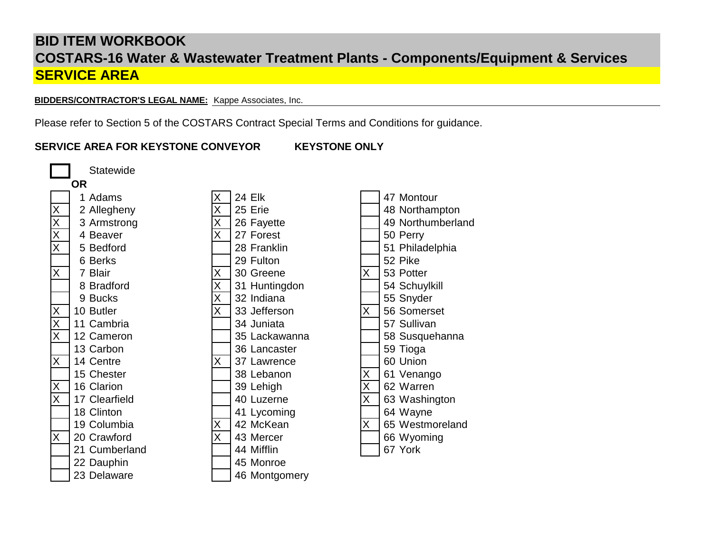**BIDDERS/CONTRACTOR'S LEGAL NAME:** Kappe Associates, Inc.

Please refer to Section 5 of the COSTARS Contract Special Terms and Conditions for guidance.

# **SERVICE AREA FOR KEYSTONE CONVEYOR KEYSTONE ONLY**

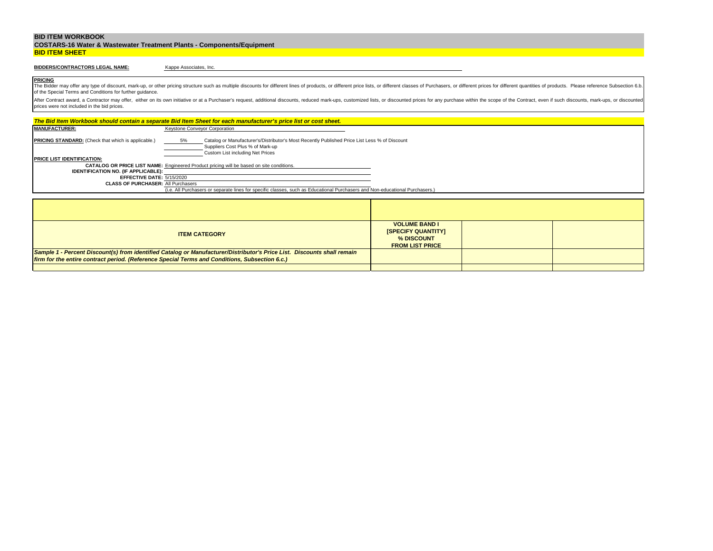|                       | <b>COSTARS-16 Water &amp; Wastewater Treatment Plants - Components/Equipment</b> |
|-----------------------|----------------------------------------------------------------------------------|
| <b>BID ITEM SHEET</b> |                                                                                  |

# **BIDDERS/CONTRACTORS LEGAL NAME:**

Kappe Associates, Inc.

**PRICING** The Bidder may offer any type of discount, mark-up, or other pricing structure such as multiple discounts for different lines of products, or different price lists, or different classes of Purchasers, or different prices f of the Special Terms and Conditions for further guidance.

| The Bid Item Workbook should contain a separate Bid Item Sheet for each manufacturer's price list or cost sheet.                                                                                                                          |                               |                                                                                                                              |                                                                                           |  |  |
|-------------------------------------------------------------------------------------------------------------------------------------------------------------------------------------------------------------------------------------------|-------------------------------|------------------------------------------------------------------------------------------------------------------------------|-------------------------------------------------------------------------------------------|--|--|
| <b>MANUFACTURER:</b>                                                                                                                                                                                                                      | Keystone Conveyor Corporation |                                                                                                                              |                                                                                           |  |  |
| <b>PRICING STANDARD:</b> (Check that which is applicable.)<br>Catalog or Manufacturer's/Distributor's Most Recently Published Price List Less % of Discount<br>5%<br>Suppliers Cost Plus % of Mark-up<br>Custom List including Net Prices |                               |                                                                                                                              |                                                                                           |  |  |
| <b>PRICE LIST IDENTIFICATION:</b>                                                                                                                                                                                                         |                               |                                                                                                                              |                                                                                           |  |  |
|                                                                                                                                                                                                                                           |                               | CATALOG OR PRICE LIST NAME: Engineered Product pricing will be based on site conditions.                                     |                                                                                           |  |  |
| <b>IDENTIFICATION NO. (IF APPLICABLE):</b>                                                                                                                                                                                                |                               |                                                                                                                              |                                                                                           |  |  |
| EFFECTIVE DATE: 5/15/2020<br><b>CLASS OF PURCHASER: All Purchasers</b>                                                                                                                                                                    |                               |                                                                                                                              |                                                                                           |  |  |
|                                                                                                                                                                                                                                           |                               | (i.e. All Purchasers or separate lines for specific classes, such as Educational Purchasers and Non-educational Purchasers.) |                                                                                           |  |  |
|                                                                                                                                                                                                                                           |                               |                                                                                                                              |                                                                                           |  |  |
|                                                                                                                                                                                                                                           |                               |                                                                                                                              |                                                                                           |  |  |
|                                                                                                                                                                                                                                           |                               |                                                                                                                              |                                                                                           |  |  |
|                                                                                                                                                                                                                                           |                               |                                                                                                                              |                                                                                           |  |  |
|                                                                                                                                                                                                                                           |                               | <b>ITEM CATEGORY</b>                                                                                                         | <b>VOLUME BAND I</b><br><b>ISPECIFY QUANTITYI</b><br>% DISCOUNT<br><b>FROM LIST PRICE</b> |  |  |
|                                                                                                                                                                                                                                           |                               | Sample 1 - Percent Discount(s) from identified Catalog or Manufacturer/Distributor's Price List. Discounts shall remain      |                                                                                           |  |  |
| firm for the entire contract period. (Reference Special Terms and Conditions, Subsection 6.c.)                                                                                                                                            |                               |                                                                                                                              |                                                                                           |  |  |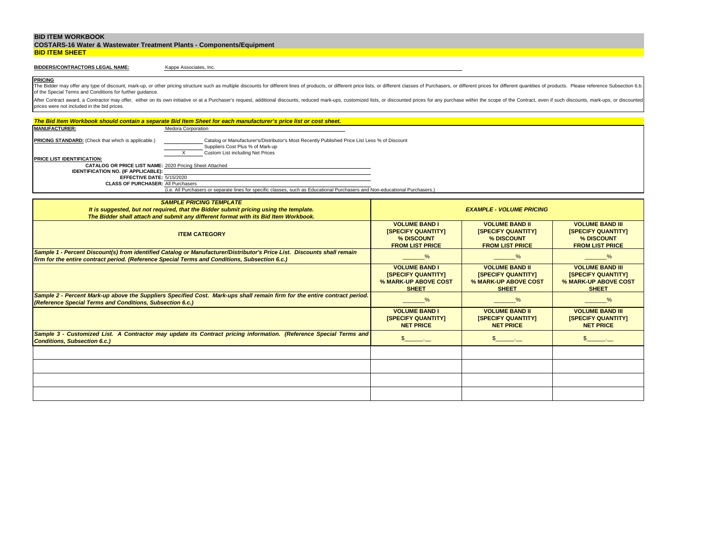|                       | <b>COSTARS-16 Water &amp; Wastewater Treatment Plants - Components/Equipment</b> |
|-----------------------|----------------------------------------------------------------------------------|
| <b>BID ITEM SHEET</b> |                                                                                  |

#### **BIDDERS/CONTRACTORS LEGAL NAME:**

Kappe Associates, Inc.

**PRICING** The Bidder may offer any type of discount, mark-up, or other pricing structure such as multiple discounts for different lines of products, or different price lists, or different classes of Purchasers, or different prices f of the Special Terms and Conditions for further guidance.

| The Bid Item Workbook should contain a separate Bid Item Sheet for each manufacturer's price list or cost sheet.                                                                                                             |                                            |                                                   |                                                   |  |  |  |
|------------------------------------------------------------------------------------------------------------------------------------------------------------------------------------------------------------------------------|--------------------------------------------|---------------------------------------------------|---------------------------------------------------|--|--|--|
| <b>MANUFACTURER:</b><br><b>Medora Corporation</b>                                                                                                                                                                            |                                            |                                                   |                                                   |  |  |  |
| PRICING STANDARD: (Check that which is applicable.)<br>Catalog or Manufacturer's/Distributor's Most Recently Published Price List Less % of Discount<br>Suppliers Cost Plus % of Mark-up<br>Custom List including Net Prices |                                            |                                                   |                                                   |  |  |  |
| PRICE LIST IDENTIFICATION:                                                                                                                                                                                                   |                                            |                                                   |                                                   |  |  |  |
| CATALOG OR PRICE LIST NAME: 2020 Pricing Sheet Attached                                                                                                                                                                      |                                            |                                                   |                                                   |  |  |  |
| IDENTIFICATION NO. (IF APPLICABLE):<br>EFFECTIVE DATE: 5/15/2020                                                                                                                                                             |                                            |                                                   |                                                   |  |  |  |
| <b>CLASS OF PURCHASER: All Purchasers</b>                                                                                                                                                                                    |                                            |                                                   |                                                   |  |  |  |
| (i.e. All Purchasers or separate lines for specific classes, such as Educational Purchasers and Non-educational Purchasers.)                                                                                                 |                                            |                                                   |                                                   |  |  |  |
| <b>SAMPLE PRICING TEMPLATE</b>                                                                                                                                                                                               |                                            |                                                   |                                                   |  |  |  |
| It is suggested, but not required, that the Bidder submit pricing using the template.                                                                                                                                        |                                            | <b>EXAMPLE - VOLUME PRICING</b>                   |                                                   |  |  |  |
| The Bidder shall attach and submit any different format with its Bid Item Workbook.                                                                                                                                          |                                            |                                                   |                                                   |  |  |  |
|                                                                                                                                                                                                                              | <b>VOLUME BAND I</b>                       | <b>VOLUME BAND II</b>                             | <b>VOLUME BAND III</b>                            |  |  |  |
| <b>ITEM CATEGORY</b>                                                                                                                                                                                                         | <b>ISPECIFY QUANTITYI</b>                  | <b>ISPECIFY QUANTITYI</b>                         | <b>ISPECIFY QUANTITYI</b>                         |  |  |  |
|                                                                                                                                                                                                                              | % DISCOUNT                                 | % DISCOUNT                                        | % DISCOUNT                                        |  |  |  |
|                                                                                                                                                                                                                              | <b>FROM LIST PRICE</b>                     | <b>FROM LIST PRICE</b>                            | <b>FROM LIST PRICE</b>                            |  |  |  |
| Sample 1 - Percent Discount(s) from identified Catalog or Manufacturer/Distributor's Price List. Discounts shall remain                                                                                                      | %                                          | %                                                 | %                                                 |  |  |  |
| firm for the entire contract period. (Reference Special Terms and Conditions, Subsection 6.c.)                                                                                                                               |                                            |                                                   |                                                   |  |  |  |
|                                                                                                                                                                                                                              | <b>VOLUME BAND I</b>                       | <b>VOLUME BAND II</b>                             | <b>VOLUME BAND III</b>                            |  |  |  |
|                                                                                                                                                                                                                              | [SPECIFY QUANTITY]<br>% MARK-UP ABOVE COST | <b>ISPECIFY QUANTITYI</b><br>% MARK-UP ABOVE COST | <b>ISPECIFY QUANTITYI</b><br>% MARK-UP ABOVE COST |  |  |  |
|                                                                                                                                                                                                                              | <b>SHEET</b>                               | <b>SHEET</b>                                      | <b>SHEET</b>                                      |  |  |  |
| Sample 2 - Percent Mark-up above the Suppliers Specified Cost. Mark-ups shall remain firm for the entire contract period.                                                                                                    |                                            |                                                   |                                                   |  |  |  |
| (Reference Special Terms and Conditions, Subsection 6.c.)                                                                                                                                                                    | %                                          | $\%$                                              | %                                                 |  |  |  |
|                                                                                                                                                                                                                              | <b>VOLUME BAND I</b>                       | <b>VOLUME BAND II</b>                             | <b>VOLUME BAND III</b>                            |  |  |  |
|                                                                                                                                                                                                                              | <b>ISPECIFY QUANTITYI</b>                  | <b>ISPECIFY QUANTITYI</b>                         | <b>ISPECIFY QUANTITY!</b>                         |  |  |  |
|                                                                                                                                                                                                                              | <b>NET PRICE</b>                           | <b>NET PRICE</b>                                  | <b>NET PRICE</b>                                  |  |  |  |
| Sample 3 - Customized List. A Contractor may update its Contract pricing information. (Reference Special Terms and                                                                                                           |                                            |                                                   |                                                   |  |  |  |
| <b>Conditions, Subsection 6.c.)</b>                                                                                                                                                                                          | $\sim$                                     | $\frac{1}{2}$                                     | $\frac{1}{2}$                                     |  |  |  |
|                                                                                                                                                                                                                              |                                            |                                                   |                                                   |  |  |  |
|                                                                                                                                                                                                                              |                                            |                                                   |                                                   |  |  |  |
|                                                                                                                                                                                                                              |                                            |                                                   |                                                   |  |  |  |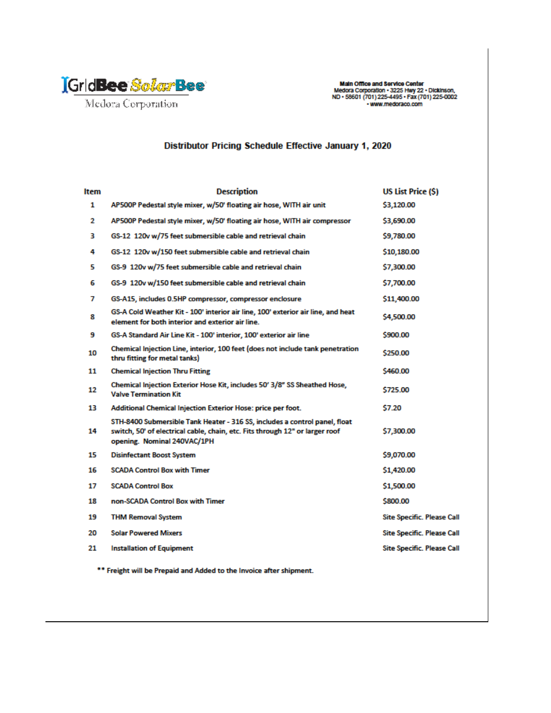

Main Office and Service Center<br>Medora Corporation - 3225 Hwy 22 - Dickinson,<br>ND - 58601 (701) 225-4495 - Fax (701) 225-0002 · www.medoraco.com

# Distributor Pricing Schedule Effective January 1, 2020

| ltem | <b>Description</b>                                                                                                                                                                        | <b>US List Price (\$)</b>         |
|------|-------------------------------------------------------------------------------------------------------------------------------------------------------------------------------------------|-----------------------------------|
| 1    | AP500P Pedestal style mixer, w/50' floating air hose, WITH air unit                                                                                                                       | \$3,120.00                        |
| 2    | AP500P Pedestal style mixer, w/50' floating air hose, WITH air compressor                                                                                                                 | \$3,690.00                        |
| з    | GS-12 120v w/75 feet submersible cable and retrieval chain                                                                                                                                | \$9,780.00                        |
| 4    | GS-12 120v w/150 feet submersible cable and retrieval chain                                                                                                                               | \$10,180.00                       |
| 5    | GS-9 120v w/75 feet submersible cable and retrieval chain                                                                                                                                 | \$7,300.00                        |
| 6    | GS-9 120v w/150 feet submersible cable and retrieval chain                                                                                                                                | \$7,700.00                        |
| 7    | GS-A15, includes 0.5HP compressor, compressor enclosure                                                                                                                                   | \$11,400.00                       |
| 8    | GS-A Cold Weather Kit - 100' interior air line, 100' exterior air line, and heat<br>element for both interior and exterior air line.                                                      | \$4,500.00                        |
| 9    | GS-A Standard Air Line Kit - 100' interior, 100' exterior air line                                                                                                                        | \$900.00                          |
| 10   | Chemical Injection Line, interior, 100 feet (does not include tank penetration<br>thru fitting for metal tanks)                                                                           | \$250.00                          |
| 11   | <b>Chemical Injection Thru Fitting</b>                                                                                                                                                    | \$460.00                          |
| 12   | Chemical Injection Exterior Hose Kit, includes 50' 3/8" SS Sheathed Hose,<br><b>Valve Termination Kit</b>                                                                                 | \$725.00                          |
| 13   | Additional Chemical Injection Exterior Hose: price per foot.                                                                                                                              | \$7.20                            |
| 14   | STH-8400 Submersible Tank Heater - 316 SS, includes a control panel, float<br>switch, 50' of electrical cable, chain, etc. Fits through 12" or larger roof<br>opening. Nominal 240VAC/1PH | \$7,300.00                        |
| 15   | <b>Disinfectant Boost System</b>                                                                                                                                                          | \$9,070.00                        |
| 16   | <b>SCADA Control Box with Timer</b>                                                                                                                                                       | \$1,420.00                        |
| 17   | <b>SCADA Control Box</b>                                                                                                                                                                  | \$1,500.00                        |
| 18   | non-SCADA Control Box with Timer                                                                                                                                                          | \$800.00                          |
| 19   | <b>THM Removal System</b>                                                                                                                                                                 | <b>Site Specific. Please Call</b> |
| 20   | <b>Solar Powered Mixers</b>                                                                                                                                                               | <b>Site Specific. Please Call</b> |
| 21   | <b>Installation of Equipment</b>                                                                                                                                                          | <b>Site Specific. Please Call</b> |
|      |                                                                                                                                                                                           |                                   |

\*\* Freight will be Prepaid and Added to the Invoice after shipment.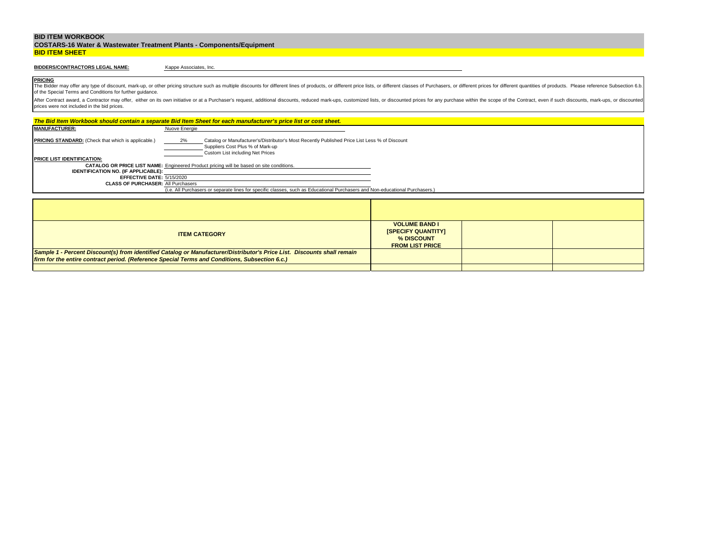|                       | <b>COSTARS-16 Water &amp; Wastewater Treatment Plants - Components/Equipment</b> |
|-----------------------|----------------------------------------------------------------------------------|
| <b>BID ITEM SHEET</b> |                                                                                  |

# **BIDDERS/CONTRACTORS LEGAL NAME:**

Kappe Associates, Inc.

**PRICING** The Bidder may offer any type of discount, mark-up, or other pricing structure such as multiple discounts for different lines of products, or different price lists, or different classes of Purchasers, or different prices f of the Special Terms and Conditions for further guidance.

|                                                                                                | The Bid Item Workbook should contain a separate Bid Item Sheet for each manufacturer's price list or cost sheet.                                                            |                                                                                           |  |
|------------------------------------------------------------------------------------------------|-----------------------------------------------------------------------------------------------------------------------------------------------------------------------------|-------------------------------------------------------------------------------------------|--|
| <b>MANUFACTURER:</b>                                                                           | Nuove Energie                                                                                                                                                               |                                                                                           |  |
| <b>PRICING STANDARD:</b> (Check that which is applicable.)                                     | 2%<br>Catalog or Manufacturer's/Distributor's Most Recently Published Price List Less % of Discount<br>Suppliers Cost Plus % of Mark-up<br>Custom List including Net Prices |                                                                                           |  |
| <b>PRICE LIST IDENTIFICATION:</b>                                                              |                                                                                                                                                                             |                                                                                           |  |
|                                                                                                | <b>CATALOG OR PRICE LIST NAME:</b> Engineered Product pricing will be based on site conditions.                                                                             |                                                                                           |  |
| <b>IDENTIFICATION NO. (IF APPLICABLE):</b><br>EFFECTIVE DATE: 5/15/2020                        |                                                                                                                                                                             |                                                                                           |  |
| <b>CLASS OF PURCHASER: All Purchasers</b>                                                      |                                                                                                                                                                             |                                                                                           |  |
|                                                                                                | (i.e. All Purchasers or separate lines for specific classes, such as Educational Purchasers and Non-educational Purchasers.)                                                |                                                                                           |  |
|                                                                                                |                                                                                                                                                                             |                                                                                           |  |
|                                                                                                |                                                                                                                                                                             |                                                                                           |  |
|                                                                                                |                                                                                                                                                                             |                                                                                           |  |
|                                                                                                |                                                                                                                                                                             |                                                                                           |  |
|                                                                                                | <b>ITEM CATEGORY</b>                                                                                                                                                        | <b>VOLUME BAND I</b><br><b>ISPECIFY QUANTITYI</b><br>% DISCOUNT<br><b>FROM LIST PRICE</b> |  |
|                                                                                                | Sample 1 - Percent Discount(s) from identified Catalog or Manufacturer/Distributor's Price List. Discounts shall remain                                                     |                                                                                           |  |
| firm for the entire contract period. (Reference Special Terms and Conditions, Subsection 6.c.) |                                                                                                                                                                             |                                                                                           |  |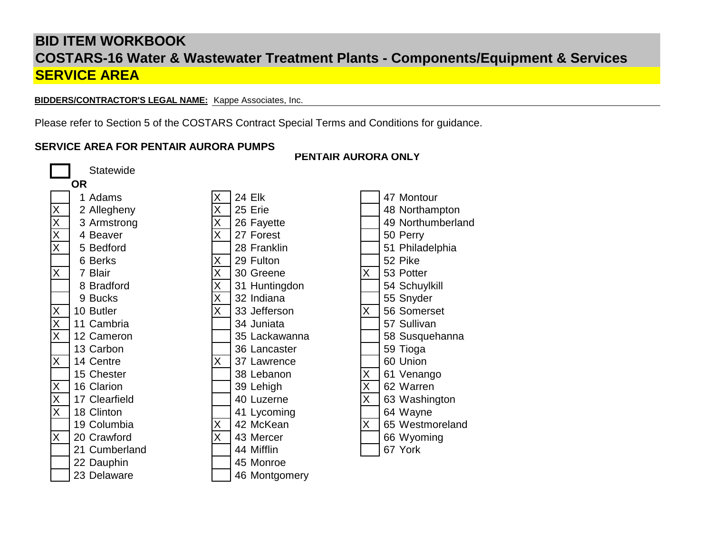**BIDDERS/CONTRACTOR'S LEGAL NAME:** Kappe Associates, Inc.

Please refer to Section 5 of the COSTARS Contract Special Terms and Conditions for guidance.

# **SERVICE AREA FOR PENTAIR AURORA PUMPS**



# **PENTAIR AURORA ONLY**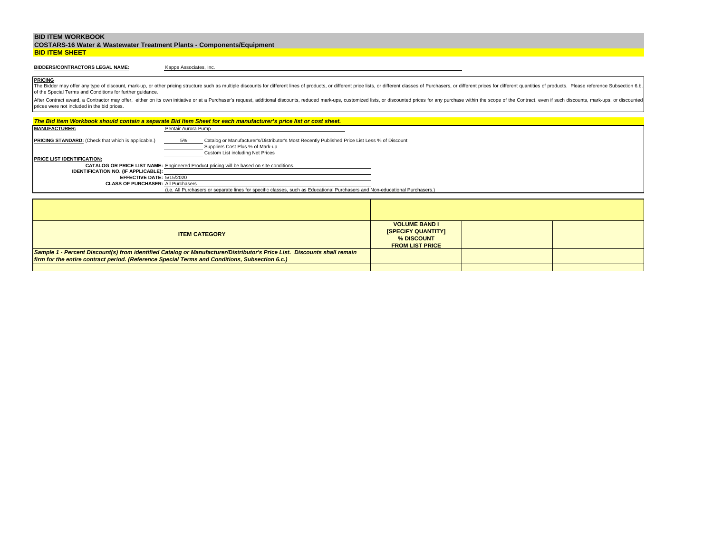|                       | <b>COSTARS-16 Water &amp; Wastewater Treatment Plants - Components/Equipment</b> |
|-----------------------|----------------------------------------------------------------------------------|
| <b>BID ITEM SHEET</b> |                                                                                  |

# **BIDDERS/CONTRACTORS LEGAL NAME:**

Kappe Associates, Inc.

**PRICING** The Bidder may offer any type of discount, mark-up, or other pricing structure such as multiple discounts for different lines of products, or different price lists, or different classes of Purchasers, or different prices f of the Special Terms and Conditions for further guidance.

|                                                                        | The Bid Item Workbook should contain a separate Bid Item Sheet for each manufacturer's price list or cost sheet.                                                            |                                                                                           |  |
|------------------------------------------------------------------------|-----------------------------------------------------------------------------------------------------------------------------------------------------------------------------|-------------------------------------------------------------------------------------------|--|
| <b>MANUFACTURER:</b>                                                   | Pentair Aurora Pump                                                                                                                                                         |                                                                                           |  |
| <b>PRICING STANDARD:</b> (Check that which is applicable.)             | Catalog or Manufacturer's/Distributor's Most Recently Published Price List Less % of Discount<br>5%<br>Suppliers Cost Plus % of Mark-up<br>Custom List including Net Prices |                                                                                           |  |
| <b>PRICE LIST IDENTIFICATION:</b>                                      |                                                                                                                                                                             |                                                                                           |  |
|                                                                        | CATALOG OR PRICE LIST NAME: Engineered Product pricing will be based on site conditions.                                                                                    |                                                                                           |  |
| <b>IDENTIFICATION NO. (IF APPLICABLE):</b>                             |                                                                                                                                                                             |                                                                                           |  |
| EFFECTIVE DATE: 5/15/2020<br><b>CLASS OF PURCHASER: All Purchasers</b> |                                                                                                                                                                             |                                                                                           |  |
|                                                                        | (i.e. All Purchasers or separate lines for specific classes, such as Educational Purchasers and Non-educational Purchasers.)                                                |                                                                                           |  |
|                                                                        |                                                                                                                                                                             |                                                                                           |  |
|                                                                        |                                                                                                                                                                             |                                                                                           |  |
|                                                                        |                                                                                                                                                                             |                                                                                           |  |
|                                                                        |                                                                                                                                                                             |                                                                                           |  |
|                                                                        | <b>ITEM CATEGORY</b>                                                                                                                                                        | <b>VOLUME BAND I</b><br><b>ISPECIFY QUANTITYI</b><br>% DISCOUNT<br><b>FROM LIST PRICE</b> |  |
|                                                                        | Sample 1 - Percent Discount(s) from identified Catalog or Manufacturer/Distributor's Price List. Discounts shall remain                                                     |                                                                                           |  |
|                                                                        | firm for the entire contract period. (Reference Special Terms and Conditions, Subsection 6.c.)                                                                              |                                                                                           |  |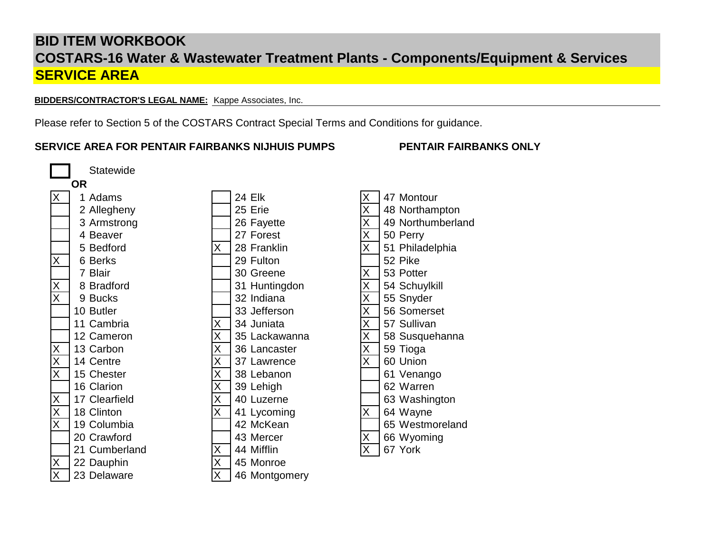**BIDDERS/CONTRACTOR'S LEGAL NAME:** Kappe Associates, Inc.

Please refer to Section 5 of the COSTARS Contract Special Terms and Conditions for guidance.

# **SERVICE AREA FOR PENTAIR FAIRBANKS NIJHUIS PUMPS PENTAIR FAIRBANKS ONLY**

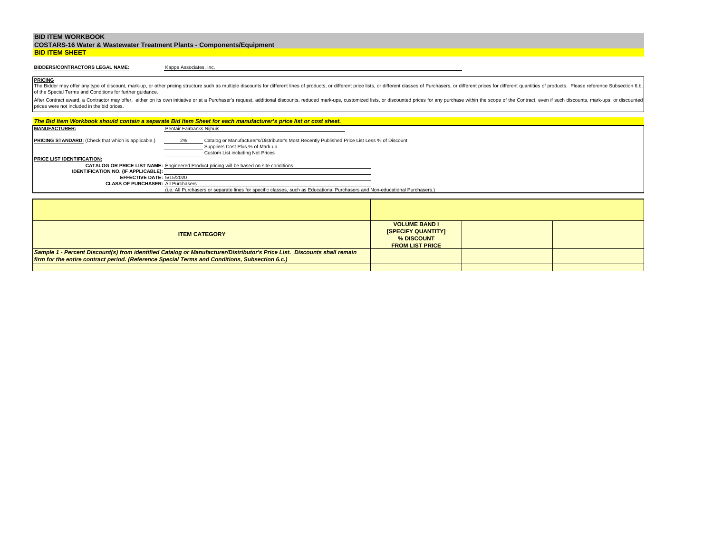|                       | <b>COSTARS-16 Water &amp; Wastewater Treatment Plants - Components/Equipment</b> |
|-----------------------|----------------------------------------------------------------------------------|
| <b>BID ITEM SHEET</b> |                                                                                  |

## **BIDDERS/CONTRACTORS LEGAL NAME:**

Kappe Associates, Inc.

**PRICING** The Bidder may offer any type of discount, mark-up, or other pricing structure such as multiple discounts for different lines of products, or different price lists, or different classes of Purchasers, or different prices f of the Special Terms and Conditions for further guidance.

|                                                                        | The Bid Item Workbook should contain a separate Bid Item Sheet for each manufacturer's price list or cost sheet.                                                            |                                                                                           |  |
|------------------------------------------------------------------------|-----------------------------------------------------------------------------------------------------------------------------------------------------------------------------|-------------------------------------------------------------------------------------------|--|
| <b>MANUFACTURER:</b>                                                   | Pentair Fairbanks Nijhuis                                                                                                                                                   |                                                                                           |  |
| <b>PRICING STANDARD:</b> (Check that which is applicable.)             | Catalog or Manufacturer's/Distributor's Most Recently Published Price List Less % of Discount<br>2%<br>Suppliers Cost Plus % of Mark-up<br>Custom List including Net Prices |                                                                                           |  |
| <b>PRICE LIST IDENTIFICATION:</b>                                      |                                                                                                                                                                             |                                                                                           |  |
|                                                                        | <b>CATALOG OR PRICE LIST NAME:</b> Engineered Product pricing will be based on site conditions.                                                                             |                                                                                           |  |
| <b>IDENTIFICATION NO. (IF APPLICABLE):</b>                             |                                                                                                                                                                             |                                                                                           |  |
| EFFECTIVE DATE: 5/15/2020<br><b>CLASS OF PURCHASER: All Purchasers</b> |                                                                                                                                                                             |                                                                                           |  |
|                                                                        | (i.e. All Purchasers or separate lines for specific classes, such as Educational Purchasers and Non-educational Purchasers.)                                                |                                                                                           |  |
|                                                                        |                                                                                                                                                                             |                                                                                           |  |
|                                                                        |                                                                                                                                                                             |                                                                                           |  |
|                                                                        |                                                                                                                                                                             |                                                                                           |  |
|                                                                        |                                                                                                                                                                             |                                                                                           |  |
|                                                                        | <b>ITEM CATEGORY</b>                                                                                                                                                        | <b>VOLUME BAND I</b><br><b>ISPECIFY QUANTITYI</b><br>% DISCOUNT<br><b>FROM LIST PRICE</b> |  |
|                                                                        | Sample 1 - Percent Discount(s) from identified Catalog or Manufacturer/Distributor's Price List. Discounts shall remain                                                     |                                                                                           |  |
|                                                                        | firm for the entire contract period. (Reference Special Terms and Conditions, Subsection 6.c.)                                                                              |                                                                                           |  |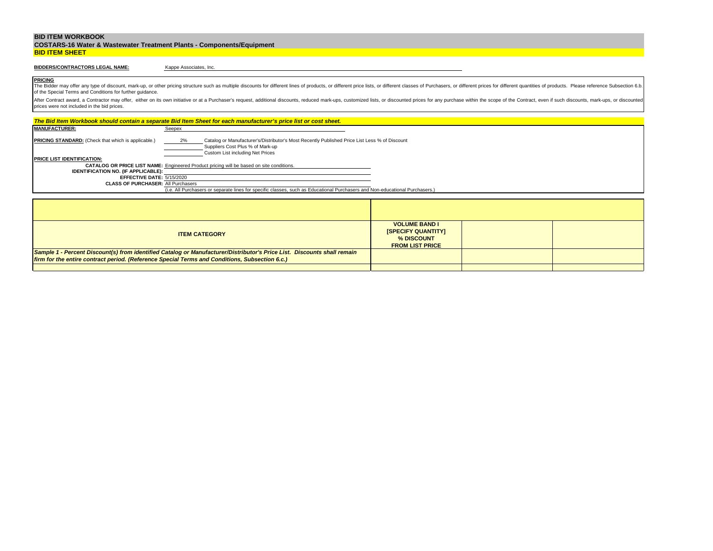|                       | <b>COSTARS-16 Water &amp; Wastewater Treatment Plants - Components/Equipment</b> |
|-----------------------|----------------------------------------------------------------------------------|
| <b>BID ITEM SHEET</b> |                                                                                  |

# **BIDDERS/CONTRACTORS LEGAL NAME:**

Kappe Associates, Inc.

**PRICING** The Bidder may offer any type of discount, mark-up, or other pricing structure such as multiple discounts for different lines of products, or different price lists, or different classes of Purchasers, or different prices f of the Special Terms and Conditions for further guidance.

|                                                                        | The Bid Item Workbook should contain a separate Bid Item Sheet for each manufacturer's price list or cost sheet.                                                            |                                                                                           |  |
|------------------------------------------------------------------------|-----------------------------------------------------------------------------------------------------------------------------------------------------------------------------|-------------------------------------------------------------------------------------------|--|
| <b>MANUFACTURER:</b>                                                   | Seepex                                                                                                                                                                      |                                                                                           |  |
| <b>PRICING STANDARD:</b> (Check that which is applicable.)             | 2%<br>Catalog or Manufacturer's/Distributor's Most Recently Published Price List Less % of Discount<br>Suppliers Cost Plus % of Mark-up<br>Custom List including Net Prices |                                                                                           |  |
| <b>PRICE LIST IDENTIFICATION:</b>                                      |                                                                                                                                                                             |                                                                                           |  |
|                                                                        | <b>CATALOG OR PRICE LIST NAME:</b> Engineered Product pricing will be based on site conditions.                                                                             |                                                                                           |  |
| <b>IDENTIFICATION NO. (IF APPLICABLE):</b>                             |                                                                                                                                                                             |                                                                                           |  |
| EFFECTIVE DATE: 5/15/2020<br><b>CLASS OF PURCHASER: All Purchasers</b> |                                                                                                                                                                             |                                                                                           |  |
|                                                                        | (i.e. All Purchasers or separate lines for specific classes, such as Educational Purchasers and Non-educational Purchasers.)                                                |                                                                                           |  |
|                                                                        |                                                                                                                                                                             |                                                                                           |  |
|                                                                        |                                                                                                                                                                             |                                                                                           |  |
|                                                                        |                                                                                                                                                                             |                                                                                           |  |
|                                                                        |                                                                                                                                                                             |                                                                                           |  |
|                                                                        | <b>ITEM CATEGORY</b>                                                                                                                                                        | <b>VOLUME BAND I</b><br><b>ISPECIFY QUANTITY!</b><br>% DISCOUNT<br><b>FROM LIST PRICE</b> |  |
|                                                                        | Sample 1 - Percent Discount(s) from identified Catalog or Manufacturer/Distributor's Price List. Discounts shall remain                                                     |                                                                                           |  |
|                                                                        | firm for the entire contract period. (Reference Special Terms and Conditions, Subsection 6.c.)                                                                              |                                                                                           |  |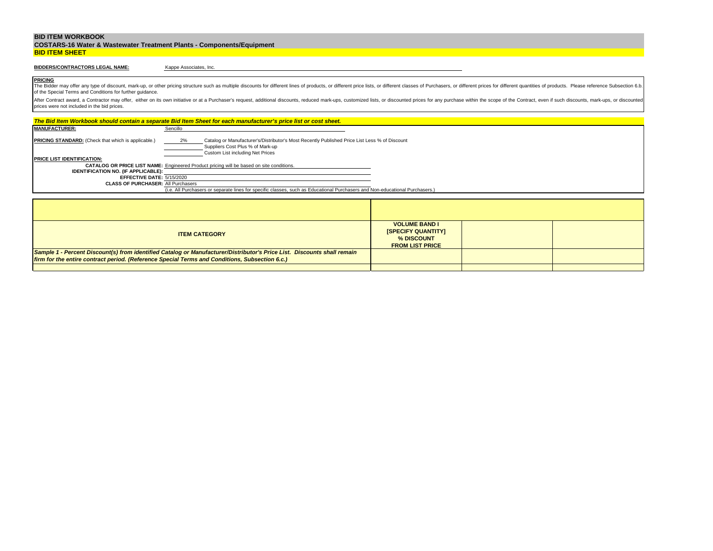|                       | <b>COSTARS-16 Water &amp; Wastewater Treatment Plants - Components/Equipment</b> |
|-----------------------|----------------------------------------------------------------------------------|
| <b>BID ITEM SHEET</b> |                                                                                  |

## **BIDDERS/CONTRACTORS LEGAL NAME:**

Kappe Associates, Inc.

**PRICING** The Bidder may offer any type of discount, mark-up, or other pricing structure such as multiple discounts for different lines of products, or different price lists, or different classes of Purchasers, or different prices f of the Special Terms and Conditions for further guidance.

|                                                                                                |          | The Bid Item Workbook should contain a separate Bid Item Sheet for each manufacturer's price list or cost sheet.                                                      |                                                                                           |  |
|------------------------------------------------------------------------------------------------|----------|-----------------------------------------------------------------------------------------------------------------------------------------------------------------------|-------------------------------------------------------------------------------------------|--|
| <b>MANUFACTURER:</b>                                                                           | Sencillo |                                                                                                                                                                       |                                                                                           |  |
| <b>PRICING STANDARD:</b> (Check that which is applicable.)                                     | 2%       | Catalog or Manufacturer's/Distributor's Most Recently Published Price List Less % of Discount<br>Suppliers Cost Plus % of Mark-up<br>Custom List including Net Prices |                                                                                           |  |
| <b>PRICE LIST IDENTIFICATION:</b>                                                              |          |                                                                                                                                                                       |                                                                                           |  |
|                                                                                                |          | <b>CATALOG OR PRICE LIST NAME:</b> Engineered Product pricing will be based on site conditions.                                                                       |                                                                                           |  |
| <b>IDENTIFICATION NO. (IF APPLICABLE):</b>                                                     |          |                                                                                                                                                                       |                                                                                           |  |
| EFFECTIVE DATE: 5/15/2020<br><b>CLASS OF PURCHASER: All Purchasers</b>                         |          |                                                                                                                                                                       |                                                                                           |  |
|                                                                                                |          | (i.e. All Purchasers or separate lines for specific classes, such as Educational Purchasers and Non-educational Purchasers.)                                          |                                                                                           |  |
|                                                                                                |          |                                                                                                                                                                       |                                                                                           |  |
|                                                                                                |          |                                                                                                                                                                       |                                                                                           |  |
|                                                                                                |          |                                                                                                                                                                       |                                                                                           |  |
|                                                                                                |          |                                                                                                                                                                       |                                                                                           |  |
|                                                                                                |          | <b>ITEM CATEGORY</b>                                                                                                                                                  | <b>VOLUME BAND I</b><br><b>ISPECIFY QUANTITYI</b><br>% DISCOUNT<br><b>FROM LIST PRICE</b> |  |
|                                                                                                |          | Sample 1 - Percent Discount(s) from identified Catalog or Manufacturer/Distributor's Price List. Discounts shall remain                                               |                                                                                           |  |
| firm for the entire contract period. (Reference Special Terms and Conditions, Subsection 6.c.) |          |                                                                                                                                                                       |                                                                                           |  |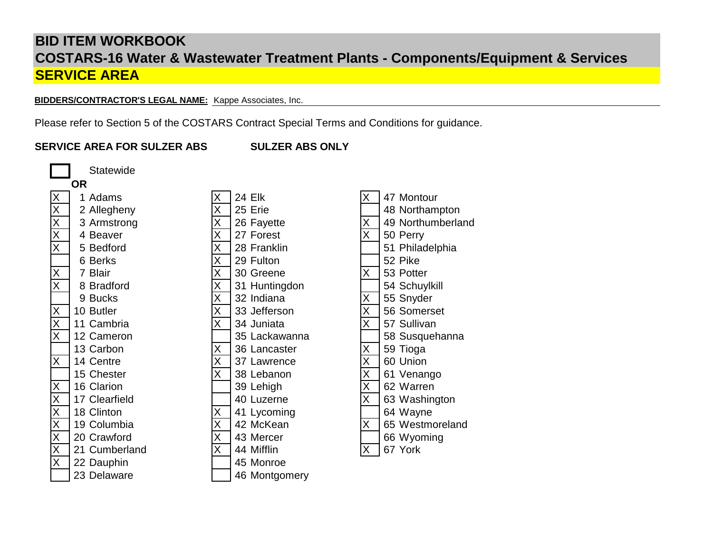**BIDDERS/CONTRACTOR'S LEGAL NAME:** Kappe Associates, Inc.

Please refer to Section 5 of the COSTARS Contract Special Terms and Conditions for guidance.

**SERVICE AREA FOR SULZER ABS SULZER ABS ONLY**

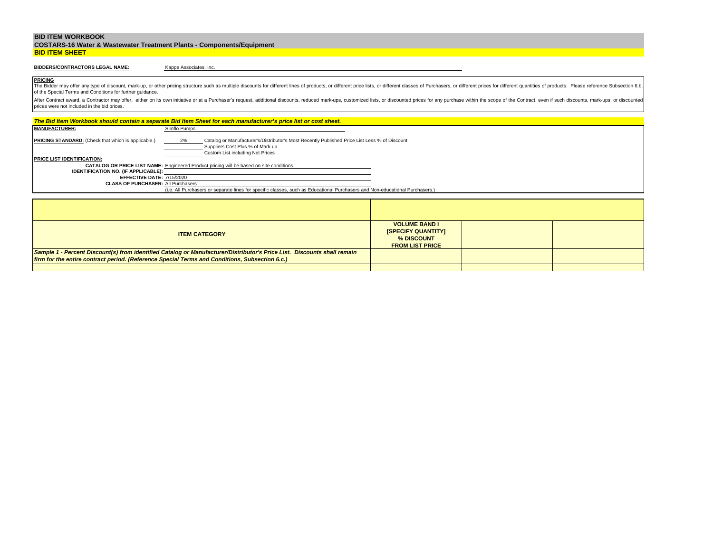|                       | <b>COSTARS-16 Water &amp; Wastewater Treatment Plants - Components/Equipment</b> |
|-----------------------|----------------------------------------------------------------------------------|
| <b>BID ITEM SHEET</b> |                                                                                  |

# **BIDDERS/CONTRACTORS LEGAL NAME:**

Kappe Associates, Inc.

**PRICING** The Bidder may offer any type of discount, mark-up, or other pricing structure such as multiple discounts for different lines of products, or different price lists, or different classes of Purchasers, or different prices f of the Special Terms and Conditions for further guidance.

|                                                            | The Bid Item Workbook should contain a separate Bid Item Sheet for each manufacturer's price list or cost sheet.                                                            |                                                                                           |  |
|------------------------------------------------------------|-----------------------------------------------------------------------------------------------------------------------------------------------------------------------------|-------------------------------------------------------------------------------------------|--|
| <b>MANUFACTURER:</b>                                       | Simflo Pumps                                                                                                                                                                |                                                                                           |  |
| <b>PRICING STANDARD:</b> (Check that which is applicable.) | 2%<br>Catalog or Manufacturer's/Distributor's Most Recently Published Price List Less % of Discount<br>Suppliers Cost Plus % of Mark-up<br>Custom List including Net Prices |                                                                                           |  |
| <b>PRICE LIST IDENTIFICATION:</b>                          |                                                                                                                                                                             |                                                                                           |  |
|                                                            | <b>CATALOG OR PRICE LIST NAME:</b> Engineered Product pricing will be based on site conditions.                                                                             |                                                                                           |  |
| <b>IDENTIFICATION NO. (IF APPLICABLE):</b>                 |                                                                                                                                                                             |                                                                                           |  |
| EFFECTIVE DATE: 7/15/2020                                  |                                                                                                                                                                             |                                                                                           |  |
| <b>CLASS OF PURCHASER: All Purchasers</b>                  | (i.e. All Purchasers or separate lines for specific classes, such as Educational Purchasers and Non-educational Purchasers.)                                                |                                                                                           |  |
|                                                            |                                                                                                                                                                             |                                                                                           |  |
|                                                            |                                                                                                                                                                             |                                                                                           |  |
|                                                            |                                                                                                                                                                             |                                                                                           |  |
|                                                            |                                                                                                                                                                             |                                                                                           |  |
|                                                            | <b>ITEM CATEGORY</b>                                                                                                                                                        | <b>VOLUME BAND I</b><br><b>ISPECIFY QUANTITYI</b><br>% DISCOUNT<br><b>FROM LIST PRICE</b> |  |
|                                                            | Sample 1 - Percent Discount(s) from identified Catalog or Manufacturer/Distributor's Price List. Discounts shall remain                                                     |                                                                                           |  |
|                                                            | firm for the entire contract period. (Reference Special Terms and Conditions, Subsection 6.c.)                                                                              |                                                                                           |  |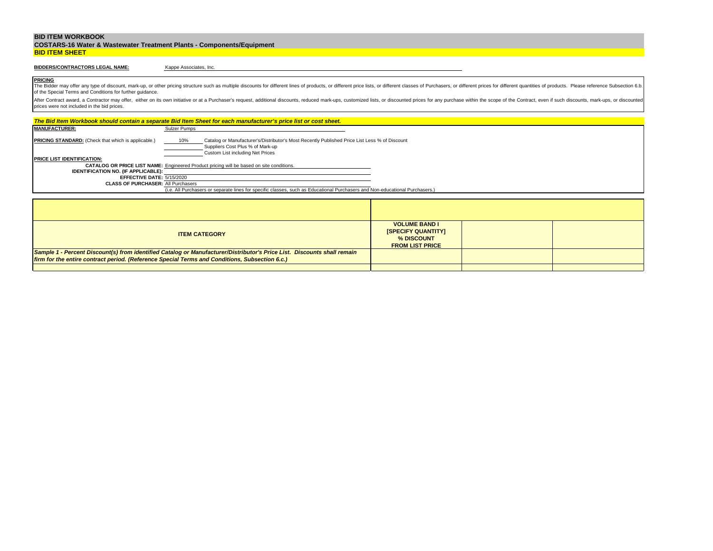|                       | <b>COSTARS-16 Water &amp; Wastewater Treatment Plants - Components/Equipment</b> |
|-----------------------|----------------------------------------------------------------------------------|
| <b>BID ITEM SHEET</b> |                                                                                  |

# **BIDDERS/CONTRACTORS LEGAL NAME:**

Kappe Associates, Inc.

**PRICING** The Bidder may offer any type of discount, mark-up, or other pricing structure such as multiple discounts for different lines of products, or different price lists, or different classes of Purchasers, or different prices f of the Special Terms and Conditions for further guidance.

|                                                                                                | The Bid Item Workbook should contain a separate Bid Item Sheet for each manufacturer's price list or cost sheet.                                                             |                                                                                           |  |
|------------------------------------------------------------------------------------------------|------------------------------------------------------------------------------------------------------------------------------------------------------------------------------|-------------------------------------------------------------------------------------------|--|
| <b>MANUFACTURER:</b>                                                                           | Sulzer Pumps                                                                                                                                                                 |                                                                                           |  |
| <b>PRICING STANDARD:</b> (Check that which is applicable.)                                     | Catalog or Manufacturer's/Distributor's Most Recently Published Price List Less % of Discount<br>10%<br>Suppliers Cost Plus % of Mark-up<br>Custom List including Net Prices |                                                                                           |  |
| <b>PRICE LIST IDENTIFICATION:</b>                                                              |                                                                                                                                                                              |                                                                                           |  |
|                                                                                                | <b>CATALOG OR PRICE LIST NAME:</b> Engineered Product pricing will be based on site conditions.                                                                              |                                                                                           |  |
| <b>IDENTIFICATION NO. (IF APPLICABLE):</b>                                                     |                                                                                                                                                                              |                                                                                           |  |
| EFFECTIVE DATE: 5/15/2020<br><b>CLASS OF PURCHASER: All Purchasers</b>                         |                                                                                                                                                                              |                                                                                           |  |
|                                                                                                | (i.e. All Purchasers or separate lines for specific classes, such as Educational Purchasers and Non-educational Purchasers.)                                                 |                                                                                           |  |
|                                                                                                |                                                                                                                                                                              |                                                                                           |  |
|                                                                                                |                                                                                                                                                                              |                                                                                           |  |
|                                                                                                |                                                                                                                                                                              |                                                                                           |  |
|                                                                                                |                                                                                                                                                                              |                                                                                           |  |
|                                                                                                | <b>ITEM CATEGORY</b>                                                                                                                                                         | <b>VOLUME BAND I</b><br><b>ISPECIFY QUANTITYI</b><br>% DISCOUNT<br><b>FROM LIST PRICE</b> |  |
|                                                                                                | Sample 1 - Percent Discount(s) from identified Catalog or Manufacturer/Distributor's Price List. Discounts shall remain                                                      |                                                                                           |  |
| firm for the entire contract period. (Reference Special Terms and Conditions, Subsection 6.c.) |                                                                                                                                                                              |                                                                                           |  |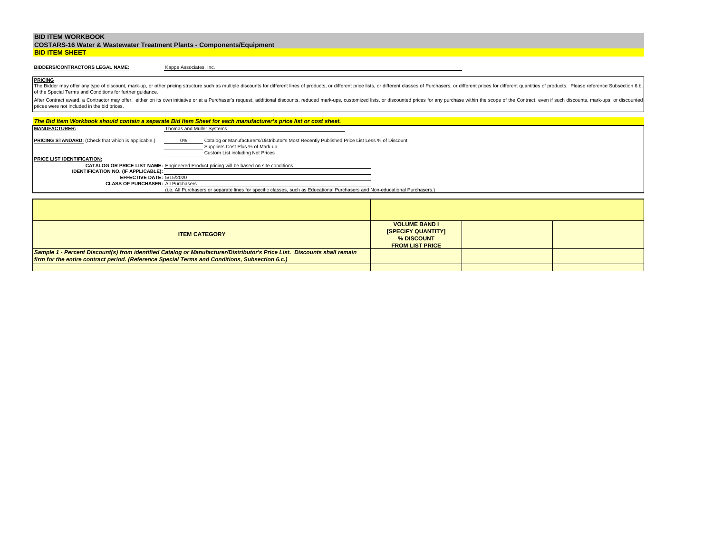|                       | <b>COSTARS-16 Water &amp; Wastewater Treatment Plants - Components/Equipment</b> |
|-----------------------|----------------------------------------------------------------------------------|
| <b>BID ITEM SHEET</b> |                                                                                  |

# **BIDDERS/CONTRACTORS LEGAL NAME:**

Kappe Associates, Inc.

**PRICING** The Bidder may offer any type of discount, mark-up, or other pricing structure such as multiple discounts for different lines of products, or different price lists, or different classes of Purchasers, or different prices f of the Special Terms and Conditions for further guidance.

|                                                                                                                                                                                                                                              | The Bid Item Workbook should contain a separate Bid Item Sheet for each manufacturer's price list or cost sheet.             |  |  |  |  |
|----------------------------------------------------------------------------------------------------------------------------------------------------------------------------------------------------------------------------------------------|------------------------------------------------------------------------------------------------------------------------------|--|--|--|--|
| <b>MANUFACTURER:</b>                                                                                                                                                                                                                         | Thomas and Muller Systems                                                                                                    |  |  |  |  |
| <b>PRICING STANDARD:</b> (Check that which is applicable.)<br>Catalog or Manufacturer's/Distributor's Most Recently Published Price List Less % of Discount<br>$0\%$<br>Suppliers Cost Plus % of Mark-up<br>Custom List including Net Prices |                                                                                                                              |  |  |  |  |
| <b>PRICE LIST IDENTIFICATION:</b>                                                                                                                                                                                                            |                                                                                                                              |  |  |  |  |
|                                                                                                                                                                                                                                              | <b>CATALOG OR PRICE LIST NAME:</b> Engineered Product pricing will be based on site conditions.                              |  |  |  |  |
| <b>IDENTIFICATION NO. (IF APPLICABLE):</b>                                                                                                                                                                                                   |                                                                                                                              |  |  |  |  |
| EFFECTIVE DATE: 5/15/2020<br><b>CLASS OF PURCHASER: All Purchasers</b>                                                                                                                                                                       |                                                                                                                              |  |  |  |  |
|                                                                                                                                                                                                                                              | (i.e. All Purchasers or separate lines for specific classes, such as Educational Purchasers and Non-educational Purchasers.) |  |  |  |  |
|                                                                                                                                                                                                                                              |                                                                                                                              |  |  |  |  |
|                                                                                                                                                                                                                                              |                                                                                                                              |  |  |  |  |
|                                                                                                                                                                                                                                              |                                                                                                                              |  |  |  |  |
|                                                                                                                                                                                                                                              |                                                                                                                              |  |  |  |  |
| <b>VOLUME BAND I</b><br><b>ISPECIFY QUANTITYI</b><br><b>ITEM CATEGORY</b><br>% DISCOUNT<br><b>FROM LIST PRICE</b>                                                                                                                            |                                                                                                                              |  |  |  |  |
|                                                                                                                                                                                                                                              | Sample 1 - Percent Discount(s) from identified Catalog or Manufacturer/Distributor's Price List. Discounts shall remain      |  |  |  |  |
| firm for the entire contract period. (Reference Special Terms and Conditions, Subsection 6.c.)                                                                                                                                               |                                                                                                                              |  |  |  |  |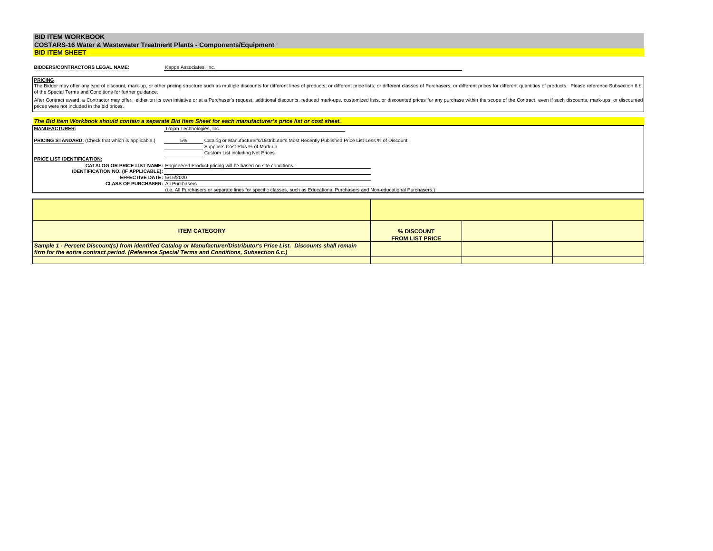|                       | <b>COSTARS-16 Water &amp; Wastewater Treatment Plants - Components/Equipment</b> |
|-----------------------|----------------------------------------------------------------------------------|
| <b>BID ITEM SHEET</b> |                                                                                  |

# **BIDDERS/CONTRACTORS LEGAL NAME:**

Kappe Associates, Inc.

**PRICING** The Bidder may offer any type of discount, mark-up, or other pricing structure such as multiple discounts for different lines of products, or different price lists, or different classes of Purchasers, or different prices f of the Special Terms and Conditions for further guidance.

|                                                                                                                                                                                                                                                                                |                           | The Bid Item Workbook should contain a separate Bid Item Sheet for each manufacturer's price list or cost sheet.             |  |  |  |  |
|--------------------------------------------------------------------------------------------------------------------------------------------------------------------------------------------------------------------------------------------------------------------------------|---------------------------|------------------------------------------------------------------------------------------------------------------------------|--|--|--|--|
| <b>MANUFACTURER:</b>                                                                                                                                                                                                                                                           | Trojan Technologies, Inc. |                                                                                                                              |  |  |  |  |
| <b>PRICING STANDARD:</b> (Check that which is applicable.)<br>5%<br>Catalog or Manufacturer's/Distributor's Most Recently Published Price List Less % of Discount<br>Suppliers Cost Plus % of Mark-up<br>Custom List including Net Prices<br><b>PRICE LIST IDENTIFICATION:</b> |                           |                                                                                                                              |  |  |  |  |
|                                                                                                                                                                                                                                                                                |                           | <b>CATALOG OR PRICE LIST NAME:</b> Engineered Product pricing will be based on site conditions.                              |  |  |  |  |
| <b>IDENTIFICATION NO. (IF APPLICABLE):</b>                                                                                                                                                                                                                                     |                           |                                                                                                                              |  |  |  |  |
| EFFECTIVE DATE: 5/15/2020                                                                                                                                                                                                                                                      |                           |                                                                                                                              |  |  |  |  |
| <b>CLASS OF PURCHASER: All Purchasers</b>                                                                                                                                                                                                                                      |                           |                                                                                                                              |  |  |  |  |
|                                                                                                                                                                                                                                                                                |                           | (i.e. All Purchasers or separate lines for specific classes, such as Educational Purchasers and Non-educational Purchasers.) |  |  |  |  |
|                                                                                                                                                                                                                                                                                |                           |                                                                                                                              |  |  |  |  |
|                                                                                                                                                                                                                                                                                |                           |                                                                                                                              |  |  |  |  |
|                                                                                                                                                                                                                                                                                |                           |                                                                                                                              |  |  |  |  |
| <b>ITEM CATEGORY</b><br>% DISCOUNT<br><b>FROM LIST PRICE</b>                                                                                                                                                                                                                   |                           |                                                                                                                              |  |  |  |  |
| Sample 1 - Percent Discount(s) from identified Catalog or Manufacturer/Distributor's Price List. Discounts shall remain                                                                                                                                                        |                           |                                                                                                                              |  |  |  |  |
| firm for the entire contract period. (Reference Special Terms and Conditions, Subsection 6.c.)                                                                                                                                                                                 |                           |                                                                                                                              |  |  |  |  |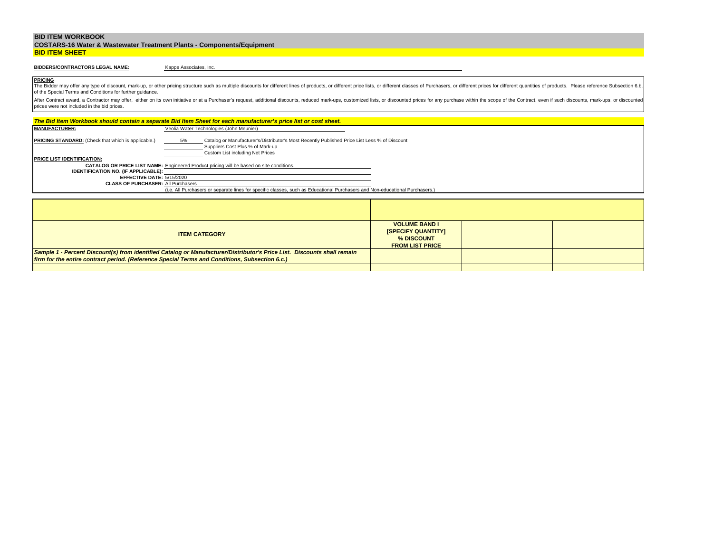|                       | <b>COSTARS-16 Water &amp; Wastewater Treatment Plants - Components/Equipment</b> |
|-----------------------|----------------------------------------------------------------------------------|
| <b>BID ITEM SHEET</b> |                                                                                  |

# **BIDDERS/CONTRACTORS LEGAL NAME:**

Kappe Associates, Inc.

**PRICING** The Bidder may offer any type of discount, mark-up, or other pricing structure such as multiple discounts for different lines of products, or different price lists, or different classes of Purchasers, or different prices f of the Special Terms and Conditions for further guidance.

|                                                                                                                                                                                                                                    | The Bid Item Workbook should contain a separate Bid Item Sheet for each manufacturer's price list or cost sheet.             |  |  |  |  |
|------------------------------------------------------------------------------------------------------------------------------------------------------------------------------------------------------------------------------------|------------------------------------------------------------------------------------------------------------------------------|--|--|--|--|
| <b>MANUFACTURER:</b>                                                                                                                                                                                                               | Veolia Water Technologies (John Meunier)                                                                                     |  |  |  |  |
| PRICING STANDARD: (Check that which is applicable.)<br>Catalog or Manufacturer's/Distributor's Most Recently Published Price List Less % of Discount<br>5%<br>Suppliers Cost Plus % of Mark-up<br>Custom List including Net Prices |                                                                                                                              |  |  |  |  |
| PRICE LIST IDENTIFICATION:                                                                                                                                                                                                         |                                                                                                                              |  |  |  |  |
|                                                                                                                                                                                                                                    | <b>CATALOG OR PRICE LIST NAME:</b> Engineered Product pricing will be based on site conditions.                              |  |  |  |  |
| <b>IDENTIFICATION NO. (IF APPLICABLE):</b>                                                                                                                                                                                         |                                                                                                                              |  |  |  |  |
| EFFECTIVE DATE: 5/15/2020<br><b>CLASS OF PURCHASER: All Purchasers</b>                                                                                                                                                             |                                                                                                                              |  |  |  |  |
|                                                                                                                                                                                                                                    | (i.e. All Purchasers or separate lines for specific classes, such as Educational Purchasers and Non-educational Purchasers.) |  |  |  |  |
|                                                                                                                                                                                                                                    |                                                                                                                              |  |  |  |  |
|                                                                                                                                                                                                                                    |                                                                                                                              |  |  |  |  |
|                                                                                                                                                                                                                                    |                                                                                                                              |  |  |  |  |
|                                                                                                                                                                                                                                    |                                                                                                                              |  |  |  |  |
| <b>VOLUME BAND I</b><br><b>ISPECIFY QUANTITYI</b><br><b>ITEM CATEGORY</b><br>% DISCOUNT<br><b>FROM LIST PRICE</b>                                                                                                                  |                                                                                                                              |  |  |  |  |
|                                                                                                                                                                                                                                    | Sample 1 - Percent Discount(s) from identified Catalog or Manufacturer/Distributor's Price List. Discounts shall remain      |  |  |  |  |
|                                                                                                                                                                                                                                    | firm for the entire contract period. (Reference Special Terms and Conditions, Subsection 6.c.)                               |  |  |  |  |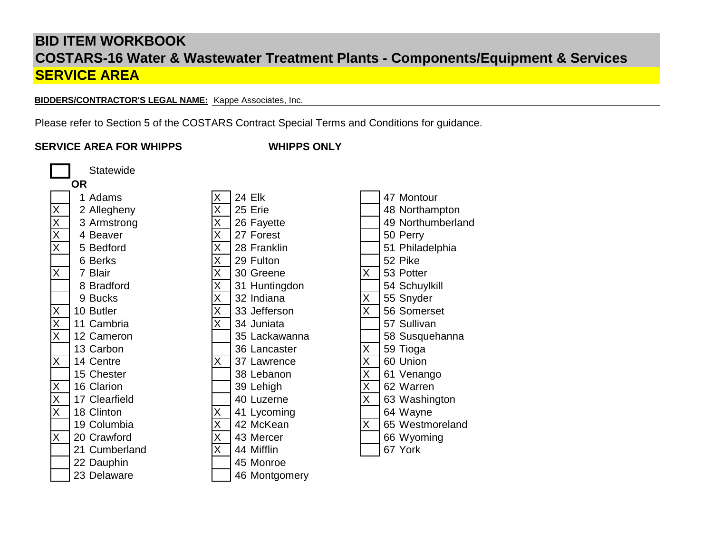**BIDDERS/CONTRACTOR'S LEGAL NAME:** Kappe Associates, Inc.

Please refer to Section 5 of the COSTARS Contract Special Terms and Conditions for guidance.

# **SERVICE AREA FOR WHIPPS**

**WHIPPS ONLY**

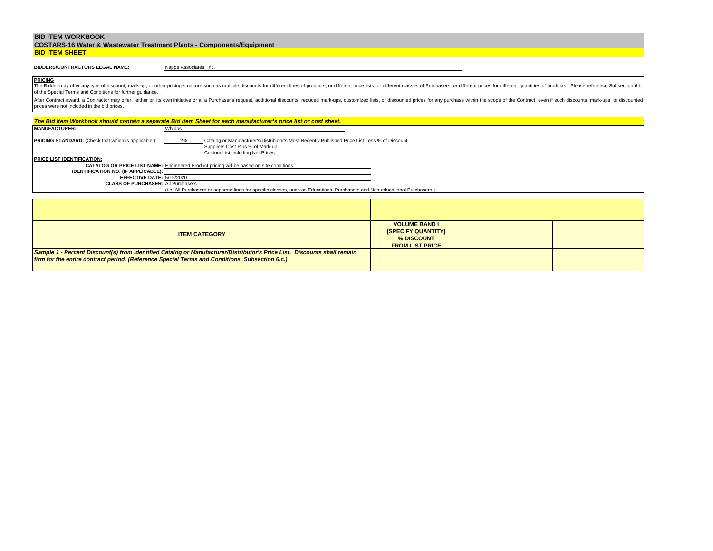|                       | <b>COSTARS-16 Water &amp; Wastewater Treatment Plants - Components/Equipment</b> |
|-----------------------|----------------------------------------------------------------------------------|
| <b>BID ITEM SHEET</b> |                                                                                  |

# **BIDDERS/CONTRACTORS LEGAL NAME:**

Kappe Associates, Inc.

**PRICING** The Bidder may offer any type of discount, mark-up, or other pricing structure such as multiple discounts for different lines of products, or different price lists, or different classes of Purchasers, or different prices f of the Special Terms and Conditions for further guidance.

| The Bid Item Workbook should contain a separate Bid Item Sheet for each manufacturer's price list or cost sheet.                                                                                                                          |                                                                                                 |                                                                                                                              |  |  |  |  |
|-------------------------------------------------------------------------------------------------------------------------------------------------------------------------------------------------------------------------------------------|-------------------------------------------------------------------------------------------------|------------------------------------------------------------------------------------------------------------------------------|--|--|--|--|
| <b>MANUFACTURER:</b>                                                                                                                                                                                                                      | Whipps                                                                                          |                                                                                                                              |  |  |  |  |
| <b>PRICING STANDARD:</b> (Check that which is applicable.)<br>Catalog or Manufacturer's/Distributor's Most Recently Published Price List Less % of Discount<br>2%<br>Suppliers Cost Plus % of Mark-up<br>Custom List including Net Prices |                                                                                                 |                                                                                                                              |  |  |  |  |
| <b>PRICE LIST IDENTIFICATION:</b>                                                                                                                                                                                                         |                                                                                                 |                                                                                                                              |  |  |  |  |
|                                                                                                                                                                                                                                           | <b>CATALOG OR PRICE LIST NAME:</b> Engineered Product pricing will be based on site conditions. |                                                                                                                              |  |  |  |  |
| <b>IDENTIFICATION NO. (IF APPLICABLE):</b>                                                                                                                                                                                                |                                                                                                 |                                                                                                                              |  |  |  |  |
| EFFECTIVE DATE: 5/15/2020<br><b>CLASS OF PURCHASER: All Purchasers</b>                                                                                                                                                                    |                                                                                                 |                                                                                                                              |  |  |  |  |
|                                                                                                                                                                                                                                           |                                                                                                 | (i.e. All Purchasers or separate lines for specific classes, such as Educational Purchasers and Non-educational Purchasers.) |  |  |  |  |
|                                                                                                                                                                                                                                           |                                                                                                 |                                                                                                                              |  |  |  |  |
|                                                                                                                                                                                                                                           |                                                                                                 |                                                                                                                              |  |  |  |  |
|                                                                                                                                                                                                                                           |                                                                                                 |                                                                                                                              |  |  |  |  |
|                                                                                                                                                                                                                                           |                                                                                                 |                                                                                                                              |  |  |  |  |
| <b>VOLUME BAND I</b><br><b>ISPECIFY QUANTITYI</b><br><b>ITEM CATEGORY</b><br>% DISCOUNT<br><b>FROM LIST PRICE</b>                                                                                                                         |                                                                                                 |                                                                                                                              |  |  |  |  |
| Sample 1 - Percent Discount(s) from identified Catalog or Manufacturer/Distributor's Price List. Discounts shall remain                                                                                                                   |                                                                                                 |                                                                                                                              |  |  |  |  |
| firm for the entire contract period. (Reference Special Terms and Conditions, Subsection 6.c.)                                                                                                                                            |                                                                                                 |                                                                                                                              |  |  |  |  |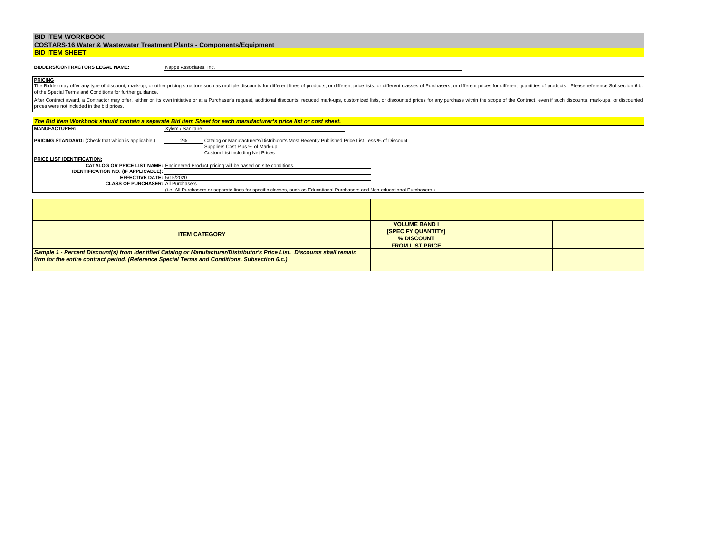|                       | <b>COSTARS-16 Water &amp; Wastewater Treatment Plants - Components/Equipment</b> |
|-----------------------|----------------------------------------------------------------------------------|
| <b>BID ITEM SHEET</b> |                                                                                  |

# **BIDDERS/CONTRACTORS LEGAL NAME:**

Kappe Associates, Inc.

**PRICING** The Bidder may offer any type of discount, mark-up, or other pricing structure such as multiple discounts for different lines of products, or different price lists, or different classes of Purchasers, or different prices f of the Special Terms and Conditions for further guidance.

| The Bid Item Workbook should contain a separate Bid Item Sheet for each manufacturer's price list or cost sheet.                                                                                                                          |                                                                                                                              |  |  |  |  |
|-------------------------------------------------------------------------------------------------------------------------------------------------------------------------------------------------------------------------------------------|------------------------------------------------------------------------------------------------------------------------------|--|--|--|--|
| <b>MANUFACTURER:</b>                                                                                                                                                                                                                      | Xylem / Sanitaire                                                                                                            |  |  |  |  |
| <b>PRICING STANDARD:</b> (Check that which is applicable.)<br>2%<br>Catalog or Manufacturer's/Distributor's Most Recently Published Price List Less % of Discount<br>Suppliers Cost Plus % of Mark-up<br>Custom List including Net Prices |                                                                                                                              |  |  |  |  |
| <b>PRICE LIST IDENTIFICATION:</b>                                                                                                                                                                                                         |                                                                                                                              |  |  |  |  |
|                                                                                                                                                                                                                                           | <b>CATALOG OR PRICE LIST NAME:</b> Engineered Product pricing will be based on site conditions.                              |  |  |  |  |
| <b>IDENTIFICATION NO. (IF APPLICABLE):</b>                                                                                                                                                                                                |                                                                                                                              |  |  |  |  |
| EFFECTIVE DATE: 5/15/2020<br><b>CLASS OF PURCHASER: All Purchasers</b>                                                                                                                                                                    |                                                                                                                              |  |  |  |  |
|                                                                                                                                                                                                                                           | (i.e. All Purchasers or separate lines for specific classes, such as Educational Purchasers and Non-educational Purchasers.) |  |  |  |  |
|                                                                                                                                                                                                                                           |                                                                                                                              |  |  |  |  |
|                                                                                                                                                                                                                                           |                                                                                                                              |  |  |  |  |
|                                                                                                                                                                                                                                           |                                                                                                                              |  |  |  |  |
|                                                                                                                                                                                                                                           |                                                                                                                              |  |  |  |  |
| <b>VOLUME BAND I</b><br><b>ISPECIFY QUANTITYI</b><br><b>ITEM CATEGORY</b><br>% DISCOUNT<br><b>FROM LIST PRICE</b>                                                                                                                         |                                                                                                                              |  |  |  |  |
|                                                                                                                                                                                                                                           | Sample 1 - Percent Discount(s) from identified Catalog or Manufacturer/Distributor's Price List. Discounts shall remain      |  |  |  |  |
| firm for the entire contract period. (Reference Special Terms and Conditions, Subsection 6.c.)                                                                                                                                            |                                                                                                                              |  |  |  |  |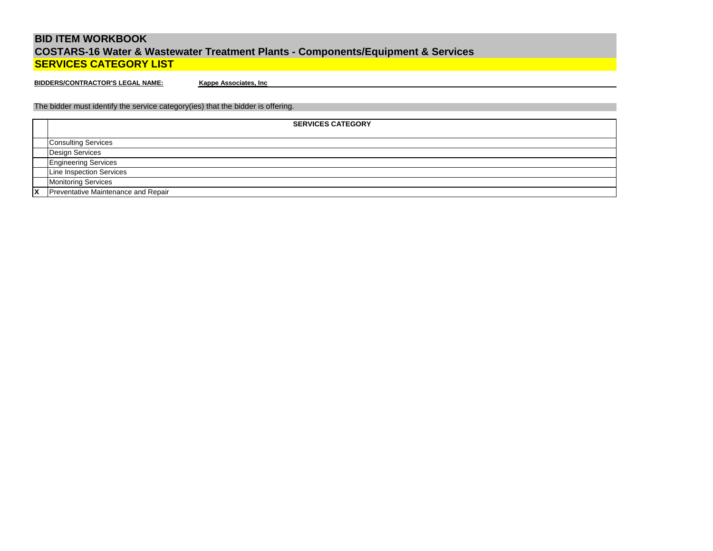**BIDDERS/CONTRACTOR'S LEGAL NAME:**

**Kappe Associates, Inc**

The bidder must identify the service category(ies) that the bidder is offering.

| <b>SERVICES CATEGORY</b>            |
|-------------------------------------|
| <b>Consulting Services</b>          |
| Design Services                     |
| <b>Engineering Services</b>         |
| Line Inspection Services            |
| <b>Monitoring Services</b>          |
| Preventative Maintenance and Repair |
|                                     |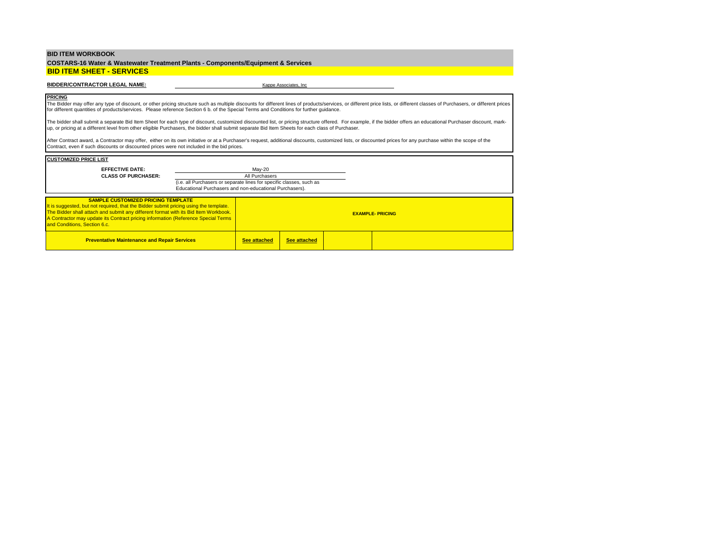**COSTARS-16 Water & Wastewater Treatment Plants - Components/Equipment & Services BID ITEM SHEET - SERVICES**

#### **BIDDER/CONTRACTOR LEGAL NAME:**  $\overline{K}$  Kappe Associates, Inc.

#### **PRICING**

The Bidder may offer any type of discount, or other pricing structure such as multiple discounts for different lines of products/services, or different price lists, or different classes of Purchasers, or different prices for different quantities of products/services. Please reference Section 6 b. of the Special Terms and Conditions for further guidance.

The bidder shall submit a separate Bid Item Sheet for each type of discount, customized discounted list, or pricing structure offered. For example, if the bidder offers an educational Purchaser discount, markup, or pricing at a different level from other eligible Purchasers, the bidder shall submit separate Bid Item Sheets for each class of Purchaser.

After Contract award, a Contractor may offer, either on its own initiative or at a Purchaser's request, additional discounts, customized lists, or discounted prices for any purchase within the scope of the Contract, even if such discounts or discounted prices were not included in the bid prices.

| <b>CUSTOMIZED PRICE LIST</b>                                                                                                                                                                                                                                                                                                                    |                                                                                                                                 |                     |                     |                        |  |
|-------------------------------------------------------------------------------------------------------------------------------------------------------------------------------------------------------------------------------------------------------------------------------------------------------------------------------------------------|---------------------------------------------------------------------------------------------------------------------------------|---------------------|---------------------|------------------------|--|
| <b>EFFECTIVE DATE:</b>                                                                                                                                                                                                                                                                                                                          |                                                                                                                                 | May-20              |                     |                        |  |
| <b>CLASS OF PURCHASER:</b>                                                                                                                                                                                                                                                                                                                      |                                                                                                                                 | All Purchasers      |                     |                        |  |
|                                                                                                                                                                                                                                                                                                                                                 | (i.e. all Purchasers or separate lines for specific classes, such as<br>Educational Purchasers and non-educational Purchasers). |                     |                     |                        |  |
| <b>SAMPLE CUSTOMIZED PRICING TEMPLATE</b><br>It is suggested, but not required, that the Bidder submit pricing using the template.<br>The Bidder shall attach and submit any different format with its Bid Item Workbook.<br>A Contractor may update its Contract pricing information (Reference Special Terms)<br>and Conditions, Section 6.c. |                                                                                                                                 |                     |                     | <b>EXAMPLE-PRICING</b> |  |
| <b>Preventative Maintenance and Repair Services</b>                                                                                                                                                                                                                                                                                             |                                                                                                                                 | <b>See attached</b> | <b>See attached</b> |                        |  |